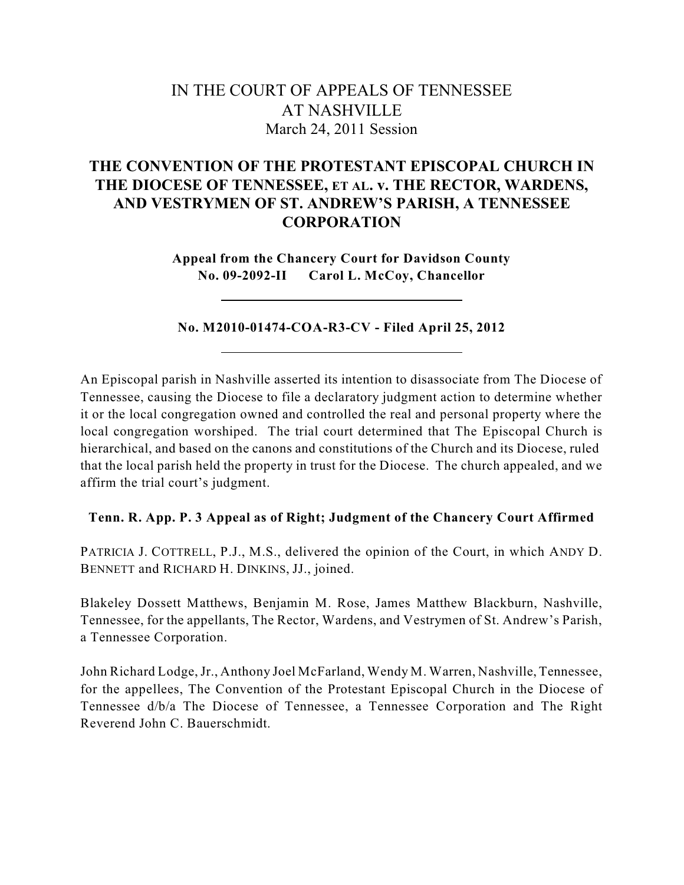# IN THE COURT OF APPEALS OF TENNESSEE AT NASHVILLE March 24, 2011 Session

## **THE CONVENTION OF THE PROTESTANT EPISCOPAL CHURCH IN THE DIOCESE OF TENNESSEE, ET AL. v. THE RECTOR, WARDENS, AND VESTRYMEN OF ST. ANDREW'S PARISH, A TENNESSEE CORPORATION**

**Appeal from the Chancery Court for Davidson County No. 09-2092-II Carol L. McCoy, Chancellor**

## **No. M2010-01474-COA-R3-CV - Filed April 25, 2012**

An Episcopal parish in Nashville asserted its intention to disassociate from The Diocese of Tennessee, causing the Diocese to file a declaratory judgment action to determine whether it or the local congregation owned and controlled the real and personal property where the local congregation worshiped. The trial court determined that The Episcopal Church is hierarchical, and based on the canons and constitutions of the Church and its Diocese, ruled that the local parish held the property in trust for the Diocese. The church appealed, and we affirm the trial court's judgment.

## **Tenn. R. App. P. 3 Appeal as of Right; Judgment of the Chancery Court Affirmed**

PATRICIA J. COTTRELL, P.J., M.S., delivered the opinion of the Court, in which ANDY D. BENNETT and RICHARD H. DINKINS, JJ., joined.

Blakeley Dossett Matthews, Benjamin M. Rose, James Matthew Blackburn, Nashville, Tennessee, for the appellants, The Rector, Wardens, and Vestrymen of St. Andrew's Parish, a Tennessee Corporation.

John Richard Lodge,Jr., Anthony Joel McFarland, Wendy M. Warren, Nashville, Tennessee, for the appellees, The Convention of the Protestant Episcopal Church in the Diocese of Tennessee d/b/a The Diocese of Tennessee, a Tennessee Corporation and The Right Reverend John C. Bauerschmidt.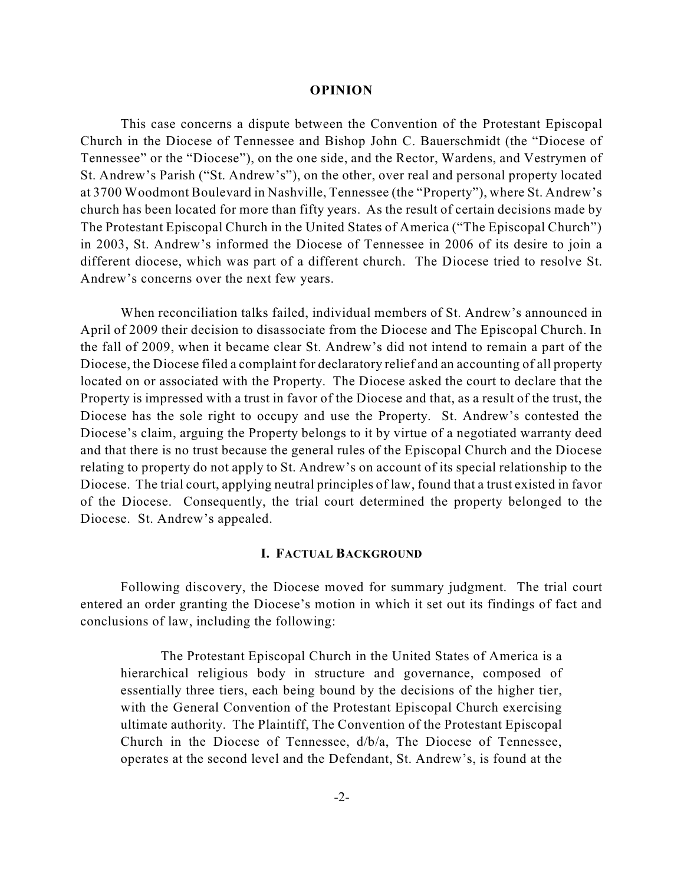#### **OPINION**

This case concerns a dispute between the Convention of the Protestant Episcopal Church in the Diocese of Tennessee and Bishop John C. Bauerschmidt (the "Diocese of Tennessee" or the "Diocese"), on the one side, and the Rector, Wardens, and Vestrymen of St. Andrew's Parish ("St. Andrew's"), on the other, over real and personal property located at 3700 Woodmont Boulevard in Nashville, Tennessee (the "Property"), where St. Andrew's church has been located for more than fifty years. As the result of certain decisions made by The Protestant Episcopal Church in the United States of America ("The Episcopal Church") in 2003, St. Andrew's informed the Diocese of Tennessee in 2006 of its desire to join a different diocese, which was part of a different church. The Diocese tried to resolve St. Andrew's concerns over the next few years.

When reconciliation talks failed, individual members of St. Andrew's announced in April of 2009 their decision to disassociate from the Diocese and The Episcopal Church. In the fall of 2009, when it became clear St. Andrew's did not intend to remain a part of the Diocese, the Diocese filed a complaint for declaratory relief and an accounting of all property located on or associated with the Property. The Diocese asked the court to declare that the Property is impressed with a trust in favor of the Diocese and that, as a result of the trust, the Diocese has the sole right to occupy and use the Property. St. Andrew's contested the Diocese's claim, arguing the Property belongs to it by virtue of a negotiated warranty deed and that there is no trust because the general rules of the Episcopal Church and the Diocese relating to property do not apply to St. Andrew's on account of its special relationship to the Diocese. The trial court, applying neutral principles of law, found that a trust existed in favor of the Diocese. Consequently, the trial court determined the property belonged to the Diocese. St. Andrew's appealed.

### **I. FACTUAL BACKGROUND**

Following discovery, the Diocese moved for summary judgment. The trial court entered an order granting the Diocese's motion in which it set out its findings of fact and conclusions of law, including the following:

The Protestant Episcopal Church in the United States of America is a hierarchical religious body in structure and governance, composed of essentially three tiers, each being bound by the decisions of the higher tier, with the General Convention of the Protestant Episcopal Church exercising ultimate authority. The Plaintiff, The Convention of the Protestant Episcopal Church in the Diocese of Tennessee, d/b/a, The Diocese of Tennessee, operates at the second level and the Defendant, St. Andrew's, is found at the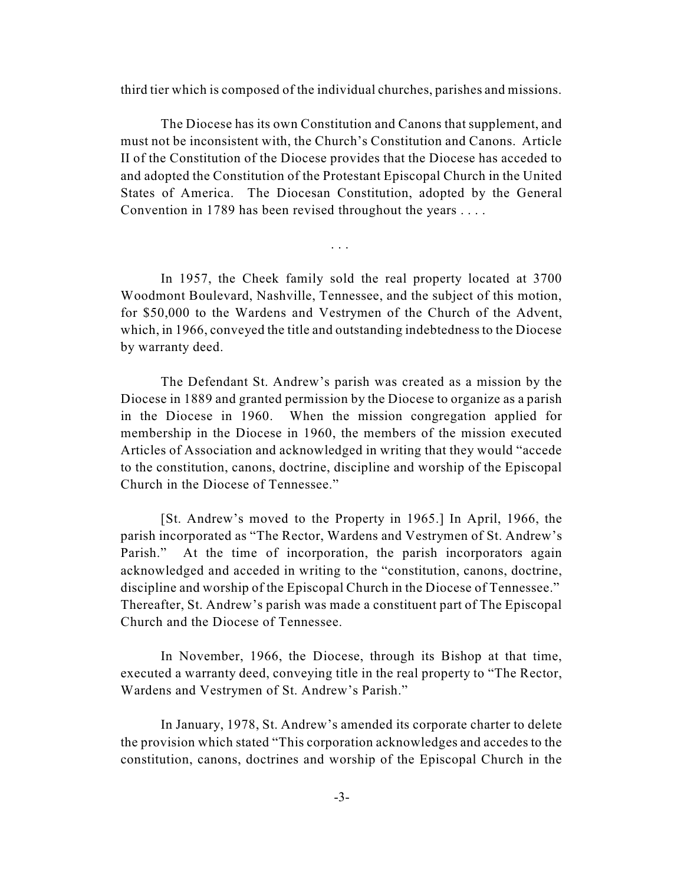third tier which is composed of the individual churches, parishes and missions.

The Diocese has its own Constitution and Canons that supplement, and must not be inconsistent with, the Church's Constitution and Canons. Article II of the Constitution of the Diocese provides that the Diocese has acceded to and adopted the Constitution of the Protestant Episcopal Church in the United States of America. The Diocesan Constitution, adopted by the General Convention in 1789 has been revised throughout the years . . . .

In 1957, the Cheek family sold the real property located at 3700 Woodmont Boulevard, Nashville, Tennessee, and the subject of this motion, for \$50,000 to the Wardens and Vestrymen of the Church of the Advent, which, in 1966, conveyed the title and outstanding indebtedness to the Diocese by warranty deed.

. . .

The Defendant St. Andrew's parish was created as a mission by the Diocese in 1889 and granted permission by the Diocese to organize as a parish in the Diocese in 1960. When the mission congregation applied for membership in the Diocese in 1960, the members of the mission executed Articles of Association and acknowledged in writing that they would "accede to the constitution, canons, doctrine, discipline and worship of the Episcopal Church in the Diocese of Tennessee."

[St. Andrew's moved to the Property in 1965.] In April, 1966, the parish incorporated as "The Rector, Wardens and Vestrymen of St. Andrew's Parish." At the time of incorporation, the parish incorporators again acknowledged and acceded in writing to the "constitution, canons, doctrine, discipline and worship of the Episcopal Church in the Diocese of Tennessee." Thereafter, St. Andrew's parish was made a constituent part of The Episcopal Church and the Diocese of Tennessee.

In November, 1966, the Diocese, through its Bishop at that time, executed a warranty deed, conveying title in the real property to "The Rector, Wardens and Vestrymen of St. Andrew's Parish."

In January, 1978, St. Andrew's amended its corporate charter to delete the provision which stated "This corporation acknowledges and accedes to the constitution, canons, doctrines and worship of the Episcopal Church in the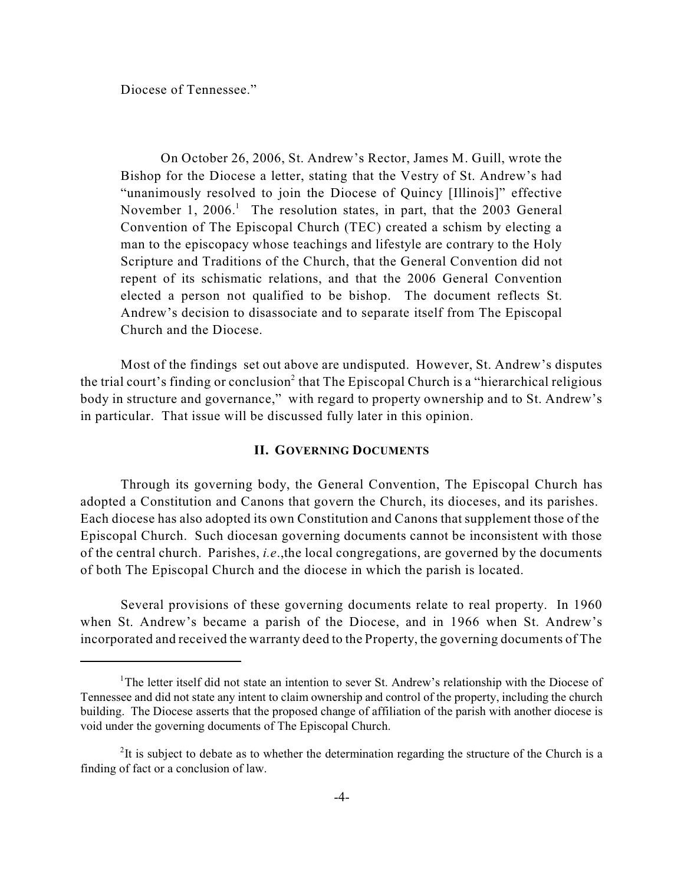Diocese of Tennessee."

On October 26, 2006, St. Andrew's Rector, James M. Guill, wrote the Bishop for the Diocese a letter, stating that the Vestry of St. Andrew's had "unanimously resolved to join the Diocese of Quincy [Illinois]" effective November 1, 2006.<sup>1</sup> The resolution states, in part, that the 2003 General Convention of The Episcopal Church (TEC) created a schism by electing a man to the episcopacy whose teachings and lifestyle are contrary to the Holy Scripture and Traditions of the Church, that the General Convention did not repent of its schismatic relations, and that the 2006 General Convention elected a person not qualified to be bishop. The document reflects St. Andrew's decision to disassociate and to separate itself from The Episcopal Church and the Diocese.

Most of the findings set out above are undisputed. However, St. Andrew's disputes the trial court's finding or conclusion<sup>2</sup> that The Episcopal Church is a "hierarchical religious body in structure and governance," with regard to property ownership and to St. Andrew's in particular. That issue will be discussed fully later in this opinion.

### **II. GOVERNING DOCUMENTS**

Through its governing body, the General Convention, The Episcopal Church has adopted a Constitution and Canons that govern the Church, its dioceses, and its parishes. Each diocese has also adopted its own Constitution and Canons that supplement those of the Episcopal Church. Such diocesan governing documents cannot be inconsistent with those of the central church. Parishes, *i.e*.,the local congregations, are governed by the documents of both The Episcopal Church and the diocese in which the parish is located.

Several provisions of these governing documents relate to real property. In 1960 when St. Andrew's became a parish of the Diocese, and in 1966 when St. Andrew's incorporated and received the warranty deed to the Property, the governing documents of The

<sup>&</sup>lt;sup>1</sup>The letter itself did not state an intention to sever St. Andrew's relationship with the Diocese of Tennessee and did not state any intent to claim ownership and control of the property, including the church building. The Diocese asserts that the proposed change of affiliation of the parish with another diocese is void under the governing documents of The Episcopal Church.

 $2$ It is subject to debate as to whether the determination regarding the structure of the Church is a finding of fact or a conclusion of law.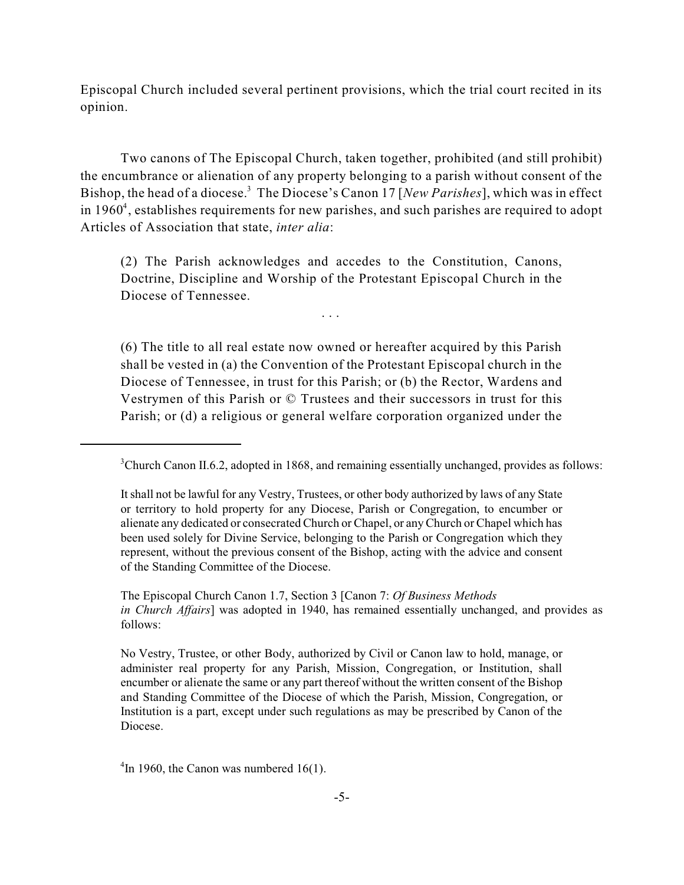Episcopal Church included several pertinent provisions, which the trial court recited in its opinion.

Two canons of The Episcopal Church, taken together, prohibited (and still prohibit) the encumbrance or alienation of any property belonging to a parish without consent of the Bishop, the head of a diocese.<sup>3</sup> The Diocese's Canon 17 [New Parishes], which was in effect in 1960<sup>4</sup>, establishes requirements for new parishes, and such parishes are required to adopt Articles of Association that state, *inter alia*:

(2) The Parish acknowledges and accedes to the Constitution, Canons, Doctrine, Discipline and Worship of the Protestant Episcopal Church in the Diocese of Tennessee.

. . .

(6) The title to all real estate now owned or hereafter acquired by this Parish shall be vested in (a) the Convention of the Protestant Episcopal church in the Diocese of Tennessee, in trust for this Parish; or (b) the Rector, Wardens and Vestrymen of this Parish or © Trustees and their successors in trust for this Parish; or (d) a religious or general welfare corporation organized under the

 $\rm{^{4}In}$  1960, the Canon was numbered 16(1).

 $3$ Church Canon II.6.2, adopted in 1868, and remaining essentially unchanged, provides as follows:

It shall not be lawful for any Vestry, Trustees, or other body authorized by laws of any State or territory to hold property for any Diocese, Parish or Congregation, to encumber or alienate any dedicated or consecrated Church or Chapel, or any Church or Chapel which has been used solely for Divine Service, belonging to the Parish or Congregation which they represent, without the previous consent of the Bishop, acting with the advice and consent of the Standing Committee of the Diocese.

The Episcopal Church Canon 1.7, Section 3 [Canon 7: *Of Business Methods in Church Affairs*] was adopted in 1940, has remained essentially unchanged, and provides as follows:

No Vestry, Trustee, or other Body, authorized by Civil or Canon law to hold, manage, or administer real property for any Parish, Mission, Congregation, or Institution, shall encumber or alienate the same or any part thereof without the written consent of the Bishop and Standing Committee of the Diocese of which the Parish, Mission, Congregation, or Institution is a part, except under such regulations as may be prescribed by Canon of the Diocese.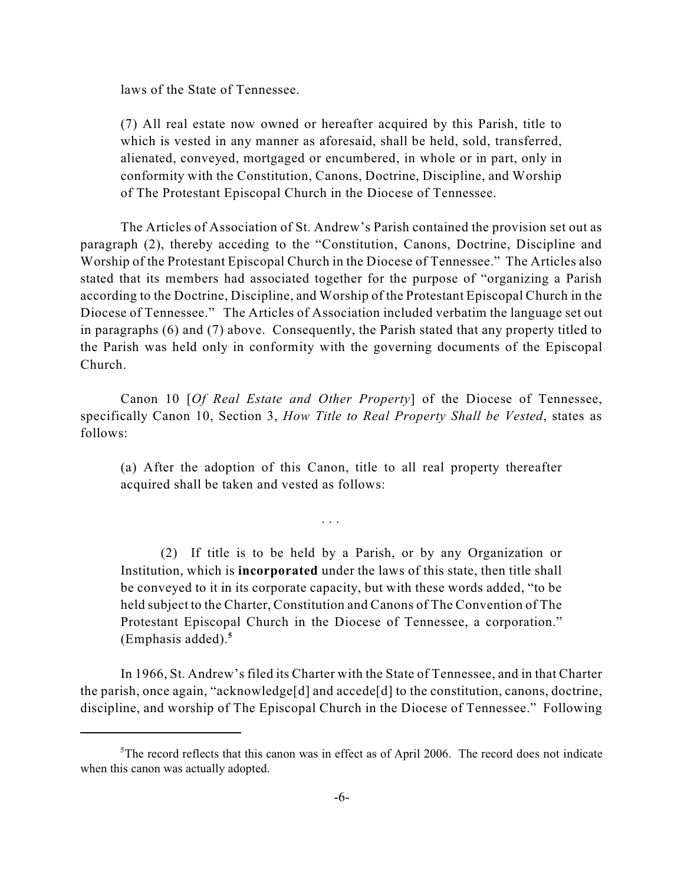laws of the State of Tennessee.

(7) All real estate now owned or hereafter acquired by this Parish, title to which is vested in any manner as aforesaid, shall be held, sold, transferred, alienated, conveyed, mortgaged or encumbered, in whole or in part, only in conformity with the Constitution, Canons, Doctrine, Discipline, and Worship of The Protestant Episcopal Church in the Diocese of Tennessee.

The Articles of Association of St. Andrew's Parish contained the provision set out as paragraph (2), thereby acceding to the "Constitution, Canons, Doctrine, Discipline and Worship of the Protestant Episcopal Church in the Diocese of Tennessee." The Articles also stated that its members had associated together for the purpose of "organizing a Parish according to the Doctrine, Discipline, and Worship of the Protestant Episcopal Church in the Diocese of Tennessee." The Articles of Association included verbatim the language set out in paragraphs (6) and (7) above. Consequently, the Parish stated that any property titled to the Parish was held only in conformity with the governing documents of the Episcopal Church.

Canon 10 [*Of Real Estate and Other Property*] of the Diocese of Tennessee, specifically Canon 10, Section 3, *How Title to Real Property Shall be Vested*, states as follows:

(a) After the adoption of this Canon, title to all real property thereafter acquired shall be taken and vested as follows:

. . .

(2) If title is to be held by a Parish, or by any Organization or Institution, which is **incorporated** under the laws of this state, then title shall be conveyed to it in its corporate capacity, but with these words added, "to be held subject to the Charter, Constitution and Canons of The Convention of The Protestant Episcopal Church in the Diocese of Tennessee, a corporation." (Emphasis added). **5**

In 1966, St. Andrew's filed its Charter with the State of Tennessee, and in that Charter the parish, once again, "acknowledge[d] and accede[d] to the constitution, canons, doctrine, discipline, and worship of The Episcopal Church in the Diocese of Tennessee." Following

 $5$ The record reflects that this canon was in effect as of April 2006. The record does not indicate when this canon was actually adopted.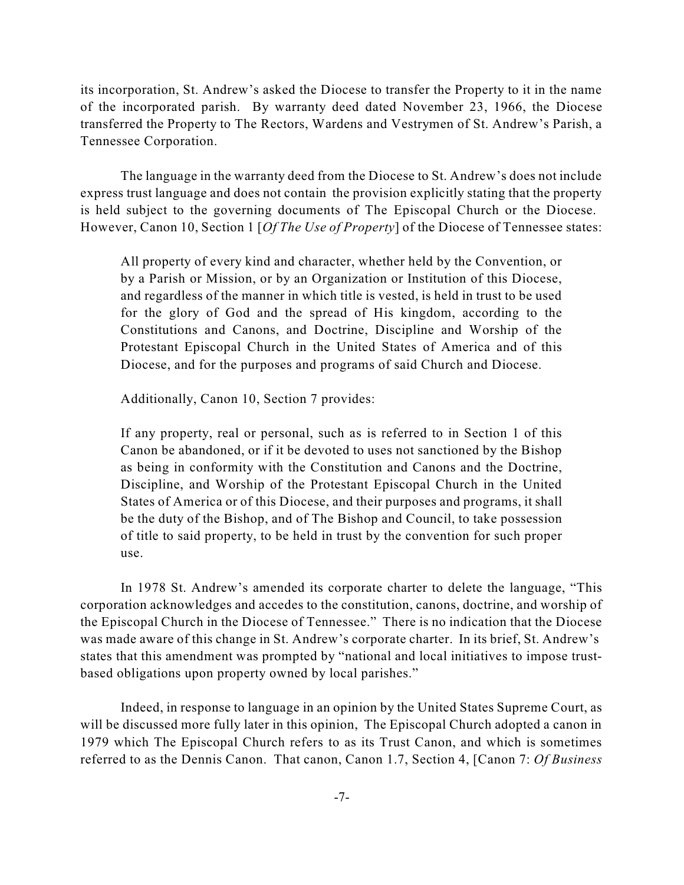its incorporation, St. Andrew's asked the Diocese to transfer the Property to it in the name of the incorporated parish. By warranty deed dated November 23, 1966, the Diocese transferred the Property to The Rectors, Wardens and Vestrymen of St. Andrew's Parish, a Tennessee Corporation.

The language in the warranty deed from the Diocese to St. Andrew's does not include express trust language and does not contain the provision explicitly stating that the property is held subject to the governing documents of The Episcopal Church or the Diocese. However, Canon 10, Section 1 [*Of The Use of Property*] of the Diocese of Tennessee states:

All property of every kind and character, whether held by the Convention, or by a Parish or Mission, or by an Organization or Institution of this Diocese, and regardless of the manner in which title is vested, is held in trust to be used for the glory of God and the spread of His kingdom, according to the Constitutions and Canons, and Doctrine, Discipline and Worship of the Protestant Episcopal Church in the United States of America and of this Diocese, and for the purposes and programs of said Church and Diocese.

Additionally, Canon 10, Section 7 provides:

If any property, real or personal, such as is referred to in Section 1 of this Canon be abandoned, or if it be devoted to uses not sanctioned by the Bishop as being in conformity with the Constitution and Canons and the Doctrine, Discipline, and Worship of the Protestant Episcopal Church in the United States of America or of this Diocese, and their purposes and programs, it shall be the duty of the Bishop, and of The Bishop and Council, to take possession of title to said property, to be held in trust by the convention for such proper use.

In 1978 St. Andrew's amended its corporate charter to delete the language, "This corporation acknowledges and accedes to the constitution, canons, doctrine, and worship of the Episcopal Church in the Diocese of Tennessee." There is no indication that the Diocese was made aware of this change in St. Andrew's corporate charter. In its brief, St. Andrew's states that this amendment was prompted by "national and local initiatives to impose trustbased obligations upon property owned by local parishes."

Indeed, in response to language in an opinion by the United States Supreme Court, as will be discussed more fully later in this opinion, The Episcopal Church adopted a canon in 1979 which The Episcopal Church refers to as its Trust Canon, and which is sometimes referred to as the Dennis Canon. That canon, Canon 1.7, Section 4, [Canon 7: *Of Business*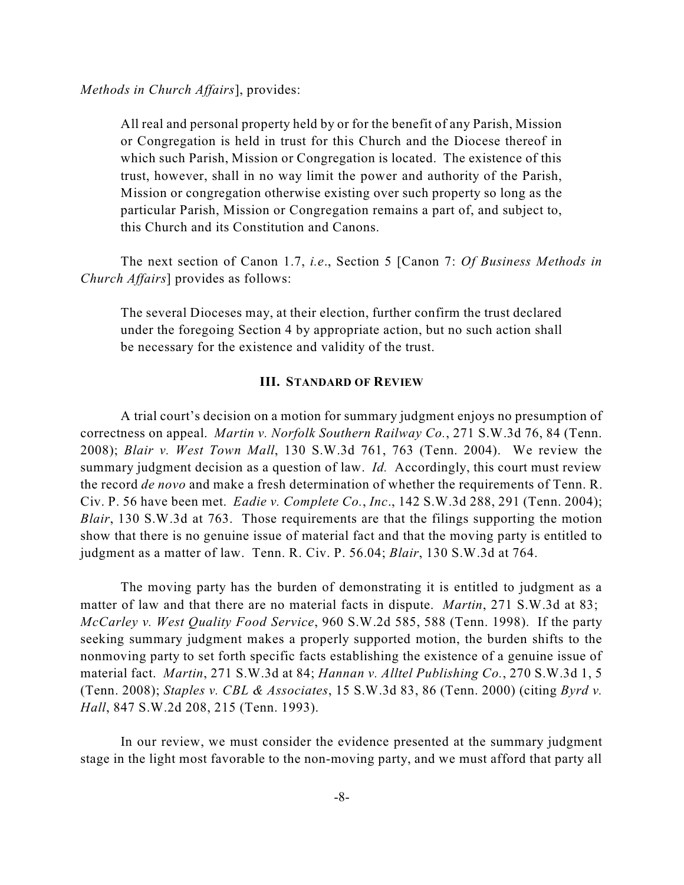All real and personal property held by or for the benefit of any Parish, Mission or Congregation is held in trust for this Church and the Diocese thereof in which such Parish, Mission or Congregation is located. The existence of this trust, however, shall in no way limit the power and authority of the Parish, Mission or congregation otherwise existing over such property so long as the particular Parish, Mission or Congregation remains a part of, and subject to, this Church and its Constitution and Canons.

The next section of Canon 1.7, *i.e*., Section 5 [Canon 7: *Of Business Methods in Church Affairs*] provides as follows:

The several Dioceses may, at their election, further confirm the trust declared under the foregoing Section 4 by appropriate action, but no such action shall be necessary for the existence and validity of the trust.

#### **III. STANDARD OF REVIEW**

A trial court's decision on a motion for summary judgment enjoys no presumption of correctness on appeal. *Martin v. Norfolk Southern Railway Co.*, 271 S.W.3d 76, 84 (Tenn. 2008); *Blair v. West Town Mall*, 130 S.W.3d 761, 763 (Tenn. 2004). We review the summary judgment decision as a question of law. *Id.* Accordingly, this court must review the record *de novo* and make a fresh determination of whether the requirements of Tenn. R. Civ. P. 56 have been met. *Eadie v. Complete Co.*, *Inc*., 142 S.W.3d 288, 291 (Tenn. 2004); *Blair*, 130 S.W.3d at 763. Those requirements are that the filings supporting the motion show that there is no genuine issue of material fact and that the moving party is entitled to judgment as a matter of law. Tenn. R. Civ. P. 56.04; *Blair*, 130 S.W.3d at 764.

The moving party has the burden of demonstrating it is entitled to judgment as a matter of law and that there are no material facts in dispute. *Martin*, 271 S.W.3d at 83; *McCarley v. West Quality Food Service*, 960 S.W.2d 585, 588 (Tenn. 1998). If the party seeking summary judgment makes a properly supported motion, the burden shifts to the nonmoving party to set forth specific facts establishing the existence of a genuine issue of material fact. *Martin*, 271 S.W.3d at 84; *Hannan v. Alltel Publishing Co.*, 270 S.W.3d 1, 5 (Tenn. 2008); *Staples v. CBL & Associates*, 15 S.W.3d 83, 86 (Tenn. 2000) (citing *Byrd v. Hall*, 847 S.W.2d 208, 215 (Tenn. 1993).

In our review, we must consider the evidence presented at the summary judgment stage in the light most favorable to the non-moving party, and we must afford that party all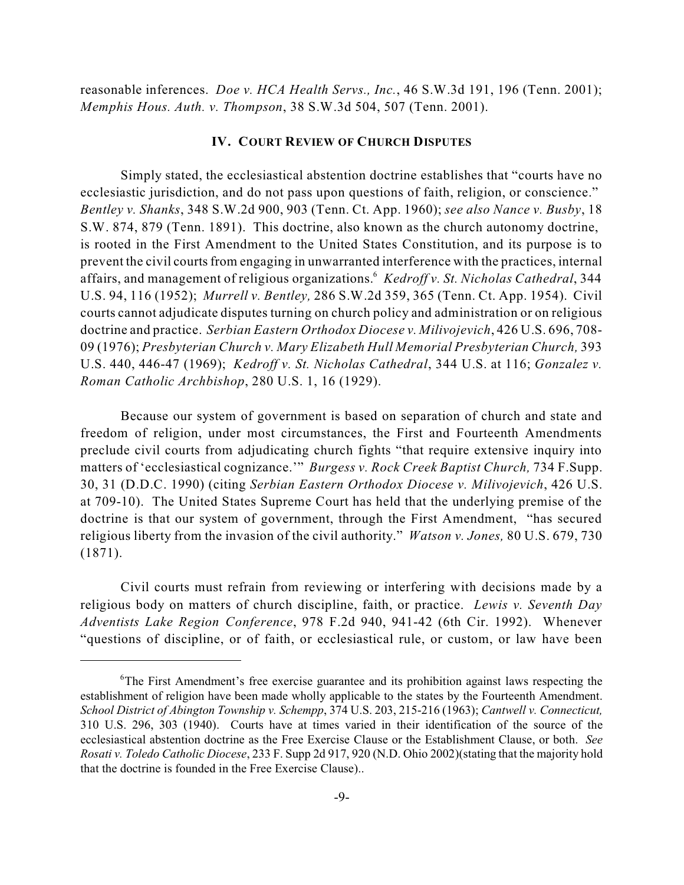reasonable inferences. *Doe v. HCA Health Servs., Inc.*, 46 S.W.3d 191, 196 (Tenn. 2001); *Memphis Hous. Auth. v. Thompson*, 38 S.W.3d 504, 507 (Tenn. 2001).

#### **IV. COURT REVIEW OF CHURCH DISPUTES**

Simply stated, the ecclesiastical abstention doctrine establishes that "courts have no ecclesiastic jurisdiction, and do not pass upon questions of faith, religion, or conscience." *Bentley v. Shanks*, 348 S.W.2d 900, 903 (Tenn. Ct. App. 1960); *see also Nance v. Busby*, 18 S.W. 874, 879 (Tenn. 1891). This doctrine, also known as the church autonomy doctrine, is rooted in the First Amendment to the United States Constitution, and its purpose is to prevent the civil courtsfrom engaging in unwarranted interference with the practices, internal affairs, and management of religious organizations. *Kedroff v. St. Nicholas Cathedral*, 344 6 U.S. 94, 116 (1952); *Murrell v. Bentley,* 286 S.W.2d 359, 365 (Tenn. Ct. App. 1954). Civil courts cannot adjudicate disputes turning on church policy and administration or on religious doctrine and practice. *Serbian Eastern Orthodox Diocese v. Milivojevich*, 426 U.S. 696, 708- 09 (1976); *Presbyterian Church v. Mary Elizabeth Hull Memorial Presbyterian Church,* 393 U.S. 440, 446-47 (1969); *Kedroff v. St. Nicholas Cathedral*, 344 U.S. at 116; *Gonzalez v. Roman Catholic Archbishop*, 280 U.S. 1, 16 (1929).

Because our system of government is based on separation of church and state and freedom of religion, under most circumstances, the First and Fourteenth Amendments preclude civil courts from adjudicating church fights "that require extensive inquiry into matters of 'ecclesiastical cognizance.'" *Burgess v. Rock Creek Baptist Church,* 734 F.Supp. 30, 31 (D.D.C. 1990) (citing *Serbian Eastern Orthodox Diocese v. Milivojevich*, 426 U.S. at 709-10). The United States Supreme Court has held that the underlying premise of the doctrine is that our system of government, through the First Amendment, "has secured religious liberty from the invasion of the civil authority." *Watson v. Jones,* 80 U.S. 679, 730 (1871).

Civil courts must refrain from reviewing or interfering with decisions made by a religious body on matters of church discipline, faith, or practice. *Lewis v. Seventh Day Adventists Lake Region Conference*, 978 F.2d 940, 941-42 (6th Cir. 1992). Whenever "questions of discipline, or of faith, or ecclesiastical rule, or custom, or law have been

 ${}^6$ The First Amendment's free exercise guarantee and its prohibition against laws respecting the establishment of religion have been made wholly applicable to the states by the Fourteenth Amendment. *School District of Abington Township v. Schempp*, 374 U.S. 203, 215-216 (1963); *Cantwell v. Connecticut,* 310 U.S. 296, 303 (1940). Courts have at times varied in their identification of the source of the ecclesiastical abstention doctrine as the Free Exercise Clause or the Establishment Clause, or both. *See Rosati v. Toledo Catholic Diocese*, 233 F. Supp 2d 917, 920 (N.D. Ohio 2002)(stating that the majority hold that the doctrine is founded in the Free Exercise Clause)..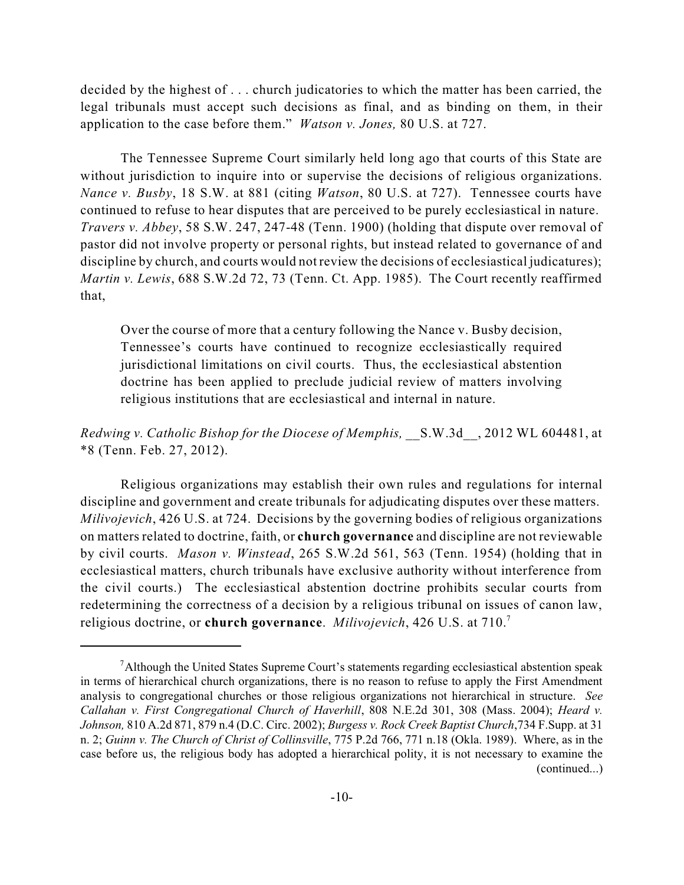decided by the highest of . . . church judicatories to which the matter has been carried, the legal tribunals must accept such decisions as final, and as binding on them, in their application to the case before them." *Watson v. Jones,* 80 U.S. at 727.

The Tennessee Supreme Court similarly held long ago that courts of this State are without jurisdiction to inquire into or supervise the decisions of religious organizations. *Nance v. Busby*, 18 S.W. at 881 (citing *Watson*, 80 U.S. at 727). Tennessee courts have continued to refuse to hear disputes that are perceived to be purely ecclesiastical in nature. *Travers v. Abbey*, 58 S.W. 247, 247-48 (Tenn. 1900) (holding that dispute over removal of pastor did not involve property or personal rights, but instead related to governance of and discipline by church, and courts would not review the decisions of ecclesiastical judicatures); *Martin v. Lewis*, 688 S.W.2d 72, 73 (Tenn. Ct. App. 1985). The Court recently reaffirmed that,

Over the course of more that a century following the Nance v. Busby decision, Tennessee's courts have continued to recognize ecclesiastically required jurisdictional limitations on civil courts. Thus, the ecclesiastical abstention doctrine has been applied to preclude judicial review of matters involving religious institutions that are ecclesiastical and internal in nature.

## *Redwing v. Catholic Bishop for the Diocese of Memphis,* \_\_S.W.3d\_\_, 2012 WL 604481, at \*8 (Tenn. Feb. 27, 2012).

Religious organizations may establish their own rules and regulations for internal discipline and government and create tribunals for adjudicating disputes over these matters. *Milivojevich*, 426 U.S. at 724. Decisions by the governing bodies of religious organizations on matters related to doctrine, faith, or **church governance** and discipline are not reviewable by civil courts. *Mason v. Winstead*, 265 S.W.2d 561, 563 (Tenn. 1954) (holding that in ecclesiastical matters, church tribunals have exclusive authority without interference from the civil courts.) The ecclesiastical abstention doctrine prohibits secular courts from redetermining the correctness of a decision by a religious tribunal on issues of canon law, religious doctrine, or **church governance**. *Milivojevich*, 426 U.S. at 710. 7

 $\alpha$ 1 Although the United States Supreme Court's statements regarding ecclesiastical abstention speak in terms of hierarchical church organizations, there is no reason to refuse to apply the First Amendment analysis to congregational churches or those religious organizations not hierarchical in structure. *See Callahan v. First Congregational Church of Haverhill*, 808 N.E.2d 301, 308 (Mass. 2004); *Heard v. Johnson,* 810 A.2d 871, 879 n.4 (D.C. Circ. 2002); *Burgess v. Rock Creek Baptist Church*,734 F.Supp. at 31 n. 2; *Guinn v. The Church of Christ of Collinsville*, 775 P.2d 766, 771 n.18 (Okla. 1989). Where, as in the case before us, the religious body has adopted a hierarchical polity, it is not necessary to examine the (continued...)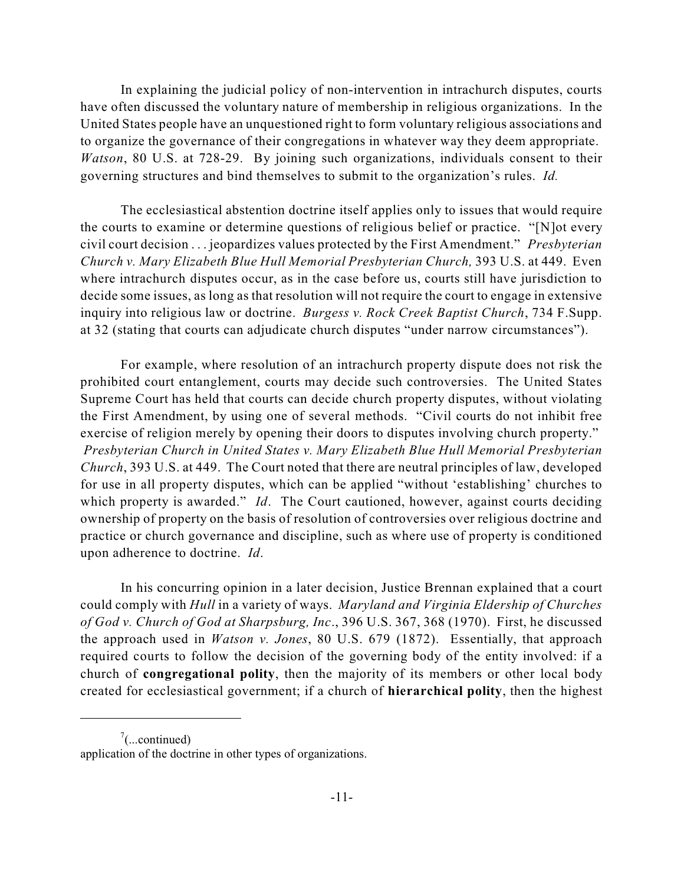In explaining the judicial policy of non-intervention in intrachurch disputes, courts have often discussed the voluntary nature of membership in religious organizations. In the United States people have an unquestioned right to form voluntary religious associations and to organize the governance of their congregations in whatever way they deem appropriate. *Watson*, 80 U.S. at 728-29. By joining such organizations, individuals consent to their governing structures and bind themselves to submit to the organization's rules. *Id.*

The ecclesiastical abstention doctrine itself applies only to issues that would require the courts to examine or determine questions of religious belief or practice. "[N]ot every civil court decision . . . jeopardizes values protected by the First Amendment." *Presbyterian Church v. Mary Elizabeth Blue Hull Memorial Presbyterian Church,* 393 U.S. at 449. Even where intrachurch disputes occur, as in the case before us, courts still have jurisdiction to decide some issues, as long as that resolution will not require the court to engage in extensive inquiry into religious law or doctrine. *Burgess v. Rock Creek Baptist Church*, 734 F.Supp. at 32 (stating that courts can adjudicate church disputes "under narrow circumstances").

For example, where resolution of an intrachurch property dispute does not risk the prohibited court entanglement, courts may decide such controversies. The United States Supreme Court has held that courts can decide church property disputes, without violating the First Amendment, by using one of several methods. "Civil courts do not inhibit free exercise of religion merely by opening their doors to disputes involving church property." *Presbyterian Church in United States v. Mary Elizabeth Blue Hull Memorial Presbyterian Church*, 393 U.S. at 449. The Court noted that there are neutral principles of law, developed for use in all property disputes, which can be applied "without 'establishing' churches to which property is awarded." *Id*. The Court cautioned, however, against courts deciding ownership of property on the basis of resolution of controversies over religious doctrine and practice or church governance and discipline, such as where use of property is conditioned upon adherence to doctrine. *Id*.

In his concurring opinion in a later decision, Justice Brennan explained that a court could comply with *Hull* in a variety of ways. *Maryland and Virginia Eldership of Churches of God v. Church of God at Sharpsburg, Inc*., 396 U.S. 367, 368 (1970). First, he discussed the approach used in *Watson v. Jones*, 80 U.S. 679 (1872). Essentially, that approach required courts to follow the decision of the governing body of the entity involved: if a church of **congregational polity**, then the majority of its members or other local body created for ecclesiastical government; if a church of **hierarchical polity**, then the highest

 $\frac{7}{2}$ (...continued)

application of the doctrine in other types of organizations.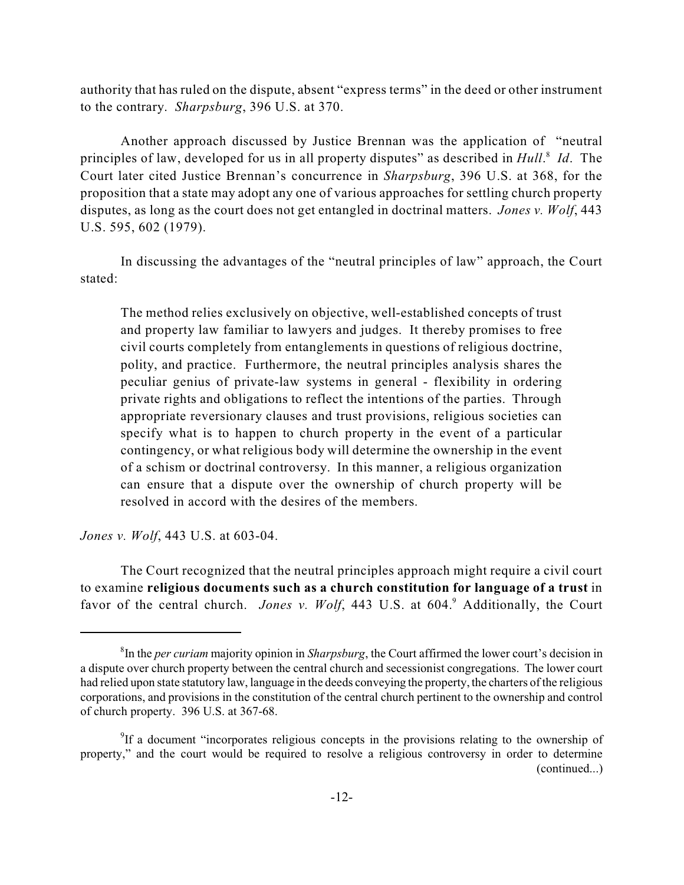authority that has ruled on the dispute, absent "express terms" in the deed or other instrument to the contrary. *Sharpsburg*, 396 U.S. at 370.

Another approach discussed by Justice Brennan was the application of "neutral principles of law, developed for us in all property disputes" as described in *Hull*.<sup>8</sup> Id. The Court later cited Justice Brennan's concurrence in *Sharpsburg*, 396 U.S. at 368, for the proposition that a state may adopt any one of various approaches for settling church property disputes, as long as the court does not get entangled in doctrinal matters. *Jones v. Wolf*, 443 U.S. 595, 602 (1979).

In discussing the advantages of the "neutral principles of law" approach, the Court stated:

The method relies exclusively on objective, well-established concepts of trust and property law familiar to lawyers and judges. It thereby promises to free civil courts completely from entanglements in questions of religious doctrine, polity, and practice. Furthermore, the neutral principles analysis shares the peculiar genius of private-law systems in general - flexibility in ordering private rights and obligations to reflect the intentions of the parties. Through appropriate reversionary clauses and trust provisions, religious societies can specify what is to happen to church property in the event of a particular contingency, or what religious body will determine the ownership in the event of a schism or doctrinal controversy. In this manner, a religious organization can ensure that a dispute over the ownership of church property will be resolved in accord with the desires of the members.

*Jones v. Wolf*, 443 U.S. at 603-04.

The Court recognized that the neutral principles approach might require a civil court to examine **religious documents such as a church constitution for language of a trust** in favor of the central church. *Jones v. Wolf*, 443 U.S. at 604. Additionally, the Court

 ${}^{8}$ In the *per curiam* majority opinion in *Sharpsburg*, the Court affirmed the lower court's decision in a dispute over church property between the central church and secessionist congregations. The lower court had relied upon state statutory law, language in the deeds conveying the property, the charters of the religious corporations, and provisions in the constitution of the central church pertinent to the ownership and control of church property. 396 U.S. at 367-68.

<sup>&</sup>lt;sup>9</sup>If a document "incorporates religious concepts in the provisions relating to the ownership of property," and the court would be required to resolve a religious controversy in order to determine (continued...)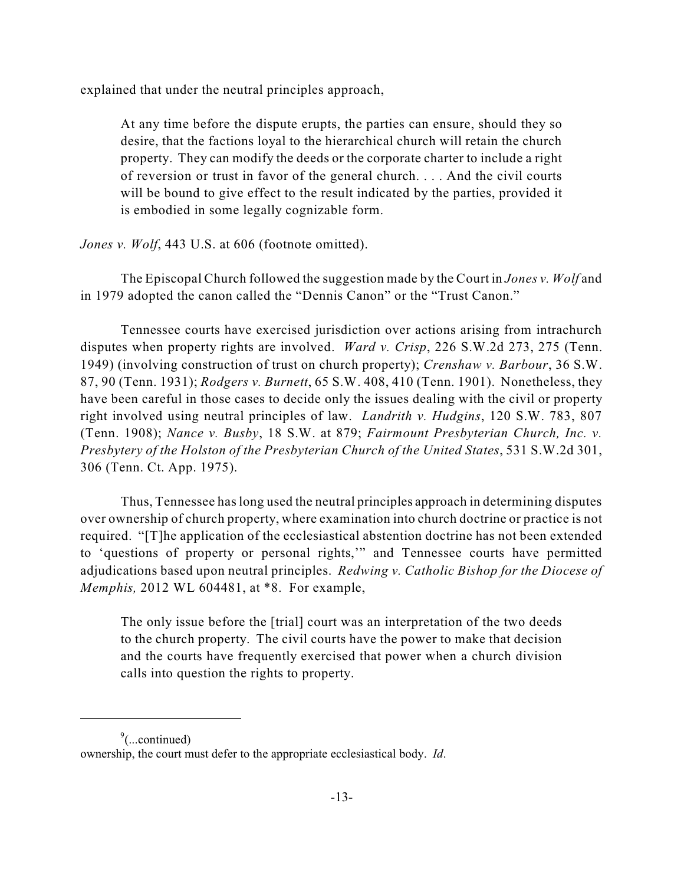explained that under the neutral principles approach,

At any time before the dispute erupts, the parties can ensure, should they so desire, that the factions loyal to the hierarchical church will retain the church property. They can modify the deeds or the corporate charter to include a right of reversion or trust in favor of the general church. . . . And the civil courts will be bound to give effect to the result indicated by the parties, provided it is embodied in some legally cognizable form.

*Jones v. Wolf*, 443 U.S. at 606 (footnote omitted).

The Episcopal Church followed the suggestion made by the Court in *Jones v. Wolf* and in 1979 adopted the canon called the "Dennis Canon" or the "Trust Canon."

Tennessee courts have exercised jurisdiction over actions arising from intrachurch disputes when property rights are involved. *Ward v. Crisp*, 226 S.W.2d 273, 275 (Tenn. 1949) (involving construction of trust on church property); *Crenshaw v. Barbour*, 36 S.W. 87, 90 (Tenn. 1931); *Rodgers v. Burnett*, 65 S.W. 408, 410 (Tenn. 1901). Nonetheless, they have been careful in those cases to decide only the issues dealing with the civil or property right involved using neutral principles of law. *Landrith v. Hudgins*, 120 S.W. 783, 807 (Tenn. 1908); *Nance v. Busby*, 18 S.W. at 879; *Fairmount Presbyterian Church, Inc. v. Presbytery of the Holston of the Presbyterian Church of the United States*, 531 S.W.2d 301, 306 (Tenn. Ct. App. 1975).

Thus, Tennessee haslong used the neutral principles approach in determining disputes over ownership of church property, where examination into church doctrine or practice is not required. "[T]he application of the ecclesiastical abstention doctrine has not been extended to 'questions of property or personal rights,'" and Tennessee courts have permitted adjudications based upon neutral principles. *Redwing v. Catholic Bishop for the Diocese of Memphis,* 2012 WL 604481, at \*8. For example,

The only issue before the [trial] court was an interpretation of the two deeds to the church property. The civil courts have the power to make that decision and the courts have frequently exercised that power when a church division calls into question the rights to property.

 $\degree$ (...continued) ownership, the court must defer to the appropriate ecclesiastical body. *Id*.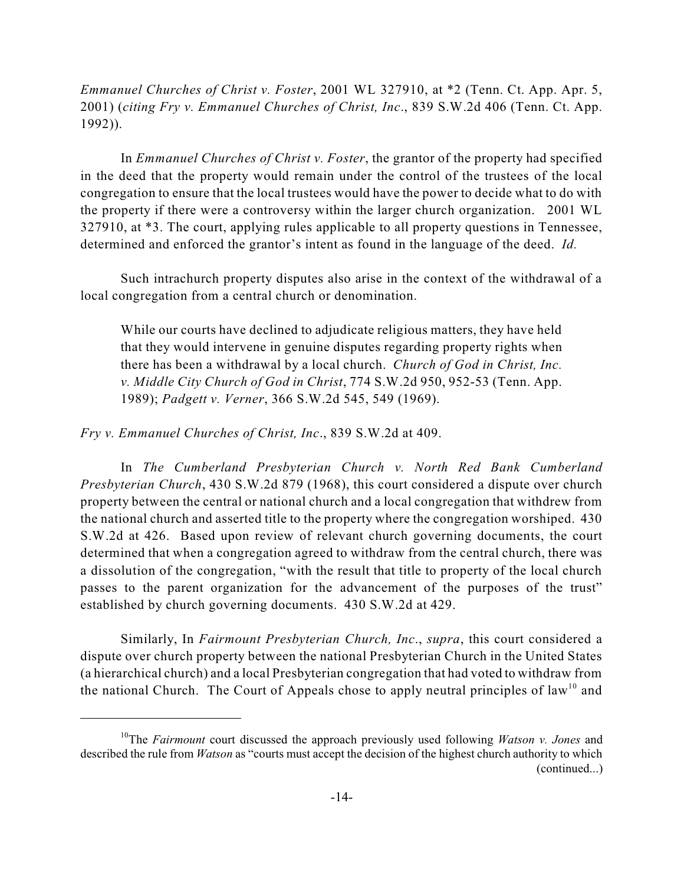*Emmanuel Churches of Christ v. Foster*, 2001 WL 327910, at \*2 (Tenn. Ct. App. Apr. 5, 2001) (*citing Fry v. Emmanuel Churches of Christ, Inc*., 839 S.W.2d 406 (Tenn. Ct. App. 1992)).

In *Emmanuel Churches of Christ v. Foster*, the grantor of the property had specified in the deed that the property would remain under the control of the trustees of the local congregation to ensure that the local trustees would have the power to decide what to do with the property if there were a controversy within the larger church organization. 2001 WL 327910, at \*3. The court, applying rules applicable to all property questions in Tennessee, determined and enforced the grantor's intent as found in the language of the deed. *Id.*

Such intrachurch property disputes also arise in the context of the withdrawal of a local congregation from a central church or denomination.

While our courts have declined to adjudicate religious matters, they have held that they would intervene in genuine disputes regarding property rights when there has been a withdrawal by a local church. *Church of God in Christ, Inc. v. Middle City Church of God in Christ*, 774 S.W.2d 950, 952-53 (Tenn. App. 1989); *Padgett v. Verner*, 366 S.W.2d 545, 549 (1969).

*Fry v. Emmanuel Churches of Christ, Inc*., 839 S.W.2d at 409.

In *The Cumberland Presbyterian Church v. North Red Bank Cumberland Presbyterian Church*, 430 S.W.2d 879 (1968), this court considered a dispute over church property between the central or national church and a local congregation that withdrew from the national church and asserted title to the property where the congregation worshiped. 430 S.W.2d at 426. Based upon review of relevant church governing documents, the court determined that when a congregation agreed to withdraw from the central church, there was a dissolution of the congregation, "with the result that title to property of the local church passes to the parent organization for the advancement of the purposes of the trust" established by church governing documents. 430 S.W.2d at 429.

Similarly, In *Fairmount Presbyterian Church, Inc*., *supra*, this court considered a dispute over church property between the national Presbyterian Church in the United States (a hierarchical church) and a local Presbyterian congregation that had voted to withdraw from the national Church. The Court of Appeals chose to apply neutral principles of law<sup>10</sup> and

<sup>&</sup>lt;sup>10</sup>The *Fairmount* court discussed the approach previously used following *Watson v. Jones* and described the rule from *Watson* as "courts must accept the decision of the highest church authority to which (continued...)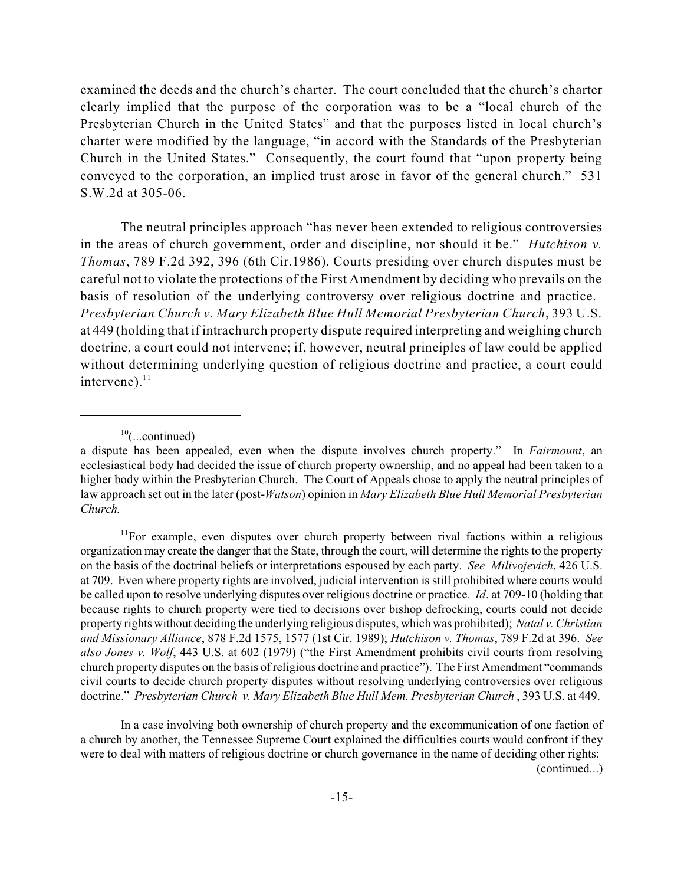examined the deeds and the church's charter. The court concluded that the church's charter clearly implied that the purpose of the corporation was to be a "local church of the Presbyterian Church in the United States" and that the purposes listed in local church's charter were modified by the language, "in accord with the Standards of the Presbyterian Church in the United States." Consequently, the court found that "upon property being conveyed to the corporation, an implied trust arose in favor of the general church." 531 S.W.2d at 305-06.

The neutral principles approach "has never been extended to religious controversies in the areas of church government, order and discipline, nor should it be." *Hutchison v. Thomas*, 789 F.2d 392, 396 (6th Cir.1986). Courts presiding over church disputes must be careful not to violate the protections of the First Amendment by deciding who prevails on the basis of resolution of the underlying controversy over religious doctrine and practice. *Presbyterian Church v. Mary Elizabeth Blue Hull Memorial Presbyterian Church*, 393 U.S. at 449 (holding that if intrachurch property dispute required interpreting and weighing church doctrine, a court could not intervene; if, however, neutral principles of law could be applied without determining underlying question of religious doctrine and practice, a court could intervene).<sup>11</sup>

 $10$ (...continued)

 $11$ For example, even disputes over church property between rival factions within a religious organization may create the danger that the State, through the court, will determine the rights to the property on the basis of the doctrinal beliefs or interpretations espoused by each party. *See Milivojevich*, 426 U.S. at 709. Even where property rights are involved, judicial intervention is still prohibited where courts would be called upon to resolve underlying disputes over religious doctrine or practice. *Id*. at 709-10 (holding that because rights to church property were tied to decisions over bishop defrocking, courts could not decide property rights without deciding the underlying religious disputes, which was prohibited); *Natal v. Christian and Missionary Alliance*, 878 F.2d 1575, 1577 (1st Cir. 1989); *Hutchison v. Thomas*, 789 F.2d at 396. *See also Jones v. Wolf*, 443 U.S. at 602 (1979) ("the First Amendment prohibits civil courts from resolving church property disputes on the basis of religious doctrine and practice"). The First Amendment "commands civil courts to decide church property disputes without resolving underlying controversies over religious doctrine." *Presbyterian Church v. Mary Elizabeth Blue Hull Mem. Presbyterian Church* , 393 U.S. at 449.

In a case involving both ownership of church property and the excommunication of one faction of a church by another, the Tennessee Supreme Court explained the difficulties courts would confront if they were to deal with matters of religious doctrine or church governance in the name of deciding other rights: (continued...)

a dispute has been appealed, even when the dispute involves church property." In *Fairmount*, an ecclesiastical body had decided the issue of church property ownership, and no appeal had been taken to a higher body within the Presbyterian Church. The Court of Appeals chose to apply the neutral principles of law approach set out in the later (post-*Watson*) opinion in *Mary Elizabeth Blue Hull Memorial Presbyterian Church.*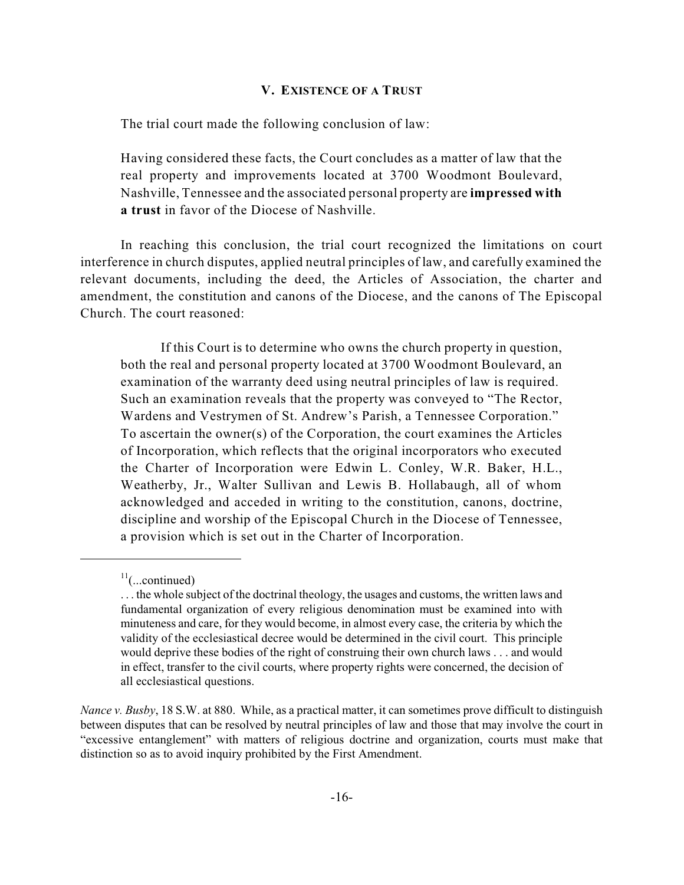#### **V. EXISTENCE OF A TRUST**

The trial court made the following conclusion of law:

Having considered these facts, the Court concludes as a matter of law that the real property and improvements located at 3700 Woodmont Boulevard, Nashville, Tennessee and the associated personal property are **impressed with a trust** in favor of the Diocese of Nashville.

In reaching this conclusion, the trial court recognized the limitations on court interference in church disputes, applied neutral principles of law, and carefully examined the relevant documents, including the deed, the Articles of Association, the charter and amendment, the constitution and canons of the Diocese, and the canons of The Episcopal Church. The court reasoned:

If this Court is to determine who owns the church property in question, both the real and personal property located at 3700 Woodmont Boulevard, an examination of the warranty deed using neutral principles of law is required. Such an examination reveals that the property was conveyed to "The Rector, Wardens and Vestrymen of St. Andrew's Parish, a Tennessee Corporation." To ascertain the owner(s) of the Corporation, the court examines the Articles of Incorporation, which reflects that the original incorporators who executed the Charter of Incorporation were Edwin L. Conley, W.R. Baker, H.L., Weatherby, Jr., Walter Sullivan and Lewis B. Hollabaugh, all of whom acknowledged and acceded in writing to the constitution, canons, doctrine, discipline and worship of the Episcopal Church in the Diocese of Tennessee, a provision which is set out in the Charter of Incorporation.

 $11$ (...continued)

<sup>. . .</sup> the whole subject of the doctrinal theology, the usages and customs, the written laws and fundamental organization of every religious denomination must be examined into with minuteness and care, for they would become, in almost every case, the criteria by which the validity of the ecclesiastical decree would be determined in the civil court. This principle would deprive these bodies of the right of construing their own church laws . . . and would in effect, transfer to the civil courts, where property rights were concerned, the decision of all ecclesiastical questions.

*Nance v. Busby*, 18 S.W. at 880. While, as a practical matter, it can sometimes prove difficult to distinguish between disputes that can be resolved by neutral principles of law and those that may involve the court in "excessive entanglement" with matters of religious doctrine and organization, courts must make that distinction so as to avoid inquiry prohibited by the First Amendment.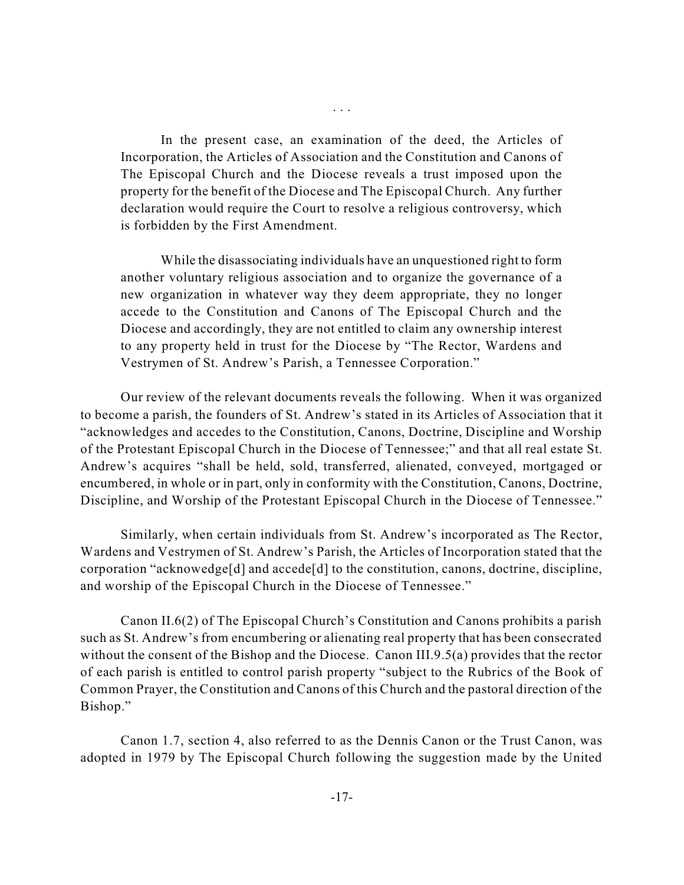In the present case, an examination of the deed, the Articles of Incorporation, the Articles of Association and the Constitution and Canons of The Episcopal Church and the Diocese reveals a trust imposed upon the property for the benefit of the Diocese and The Episcopal Church. Any further declaration would require the Court to resolve a religious controversy, which is forbidden by the First Amendment.

. . .

While the disassociating individuals have an unquestioned right to form another voluntary religious association and to organize the governance of a new organization in whatever way they deem appropriate, they no longer accede to the Constitution and Canons of The Episcopal Church and the Diocese and accordingly, they are not entitled to claim any ownership interest to any property held in trust for the Diocese by "The Rector, Wardens and Vestrymen of St. Andrew's Parish, a Tennessee Corporation."

Our review of the relevant documents reveals the following. When it was organized to become a parish, the founders of St. Andrew's stated in its Articles of Association that it "acknowledges and accedes to the Constitution, Canons, Doctrine, Discipline and Worship of the Protestant Episcopal Church in the Diocese of Tennessee;" and that all real estate St. Andrew's acquires "shall be held, sold, transferred, alienated, conveyed, mortgaged or encumbered, in whole or in part, only in conformity with the Constitution, Canons, Doctrine, Discipline, and Worship of the Protestant Episcopal Church in the Diocese of Tennessee."

Similarly, when certain individuals from St. Andrew's incorporated as The Rector, Wardens and Vestrymen of St. Andrew's Parish, the Articles of Incorporation stated that the corporation "acknowedge[d] and accede[d] to the constitution, canons, doctrine, discipline, and worship of the Episcopal Church in the Diocese of Tennessee."

Canon II.6(2) of The Episcopal Church's Constitution and Canons prohibits a parish such as St. Andrew's from encumbering or alienating real property that has been consecrated without the consent of the Bishop and the Diocese. Canon III.9.5(a) provides that the rector of each parish is entitled to control parish property "subject to the Rubrics of the Book of Common Prayer, the Constitution and Canons of this Church and the pastoral direction of the Bishop."

Canon 1.7, section 4, also referred to as the Dennis Canon or the Trust Canon, was adopted in 1979 by The Episcopal Church following the suggestion made by the United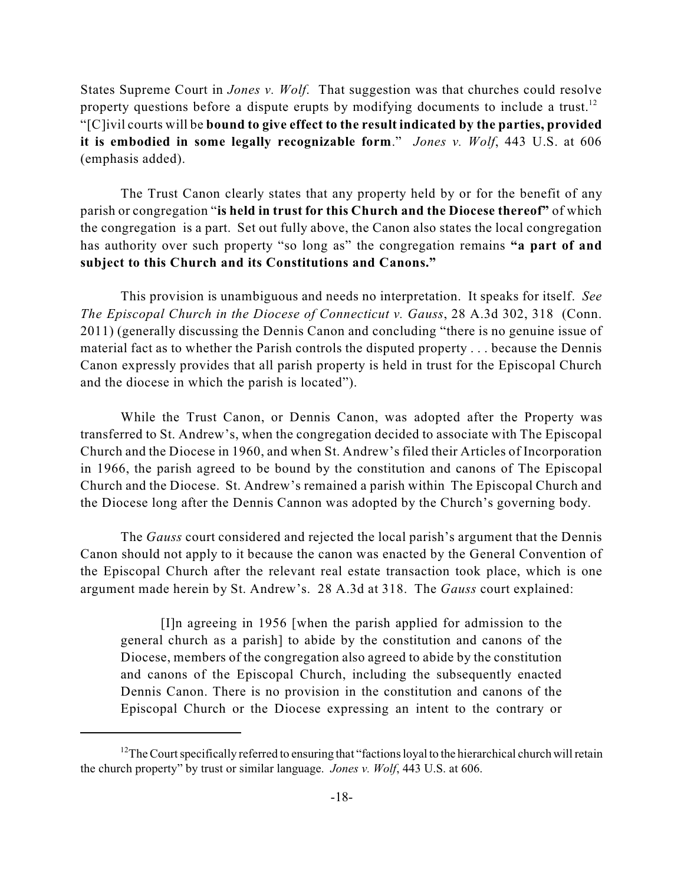States Supreme Court in *Jones v. Wolf*. That suggestion was that churches could resolve property questions before a dispute erupts by modifying documents to include a trust.<sup>12</sup> "[C]ivil courts will be **bound to give effect to the result indicated by the parties, provided it is embodied in some legally recognizable form**." *Jones v. Wolf*, 443 U.S. at 606 (emphasis added).

The Trust Canon clearly states that any property held by or for the benefit of any parish or congregation "**is held in trust for this Church and the Diocese thereof"** of which the congregation is a part. Set out fully above, the Canon also states the local congregation has authority over such property "so long as" the congregation remains **"a part of and subject to this Church and its Constitutions and Canons."**

This provision is unambiguous and needs no interpretation. It speaks for itself. *See The Episcopal Church in the Diocese of Connecticut v. Gauss*, 28 A.3d 302, 318 (Conn. 2011) (generally discussing the Dennis Canon and concluding "there is no genuine issue of material fact as to whether the Parish controls the disputed property . . . because the Dennis Canon expressly provides that all parish property is held in trust for the Episcopal Church and the diocese in which the parish is located").

While the Trust Canon, or Dennis Canon, was adopted after the Property was transferred to St. Andrew's, when the congregation decided to associate with The Episcopal Church and the Diocese in 1960, and when St. Andrew's filed their Articles of Incorporation in 1966, the parish agreed to be bound by the constitution and canons of The Episcopal Church and the Diocese. St. Andrew's remained a parish within The Episcopal Church and the Diocese long after the Dennis Cannon was adopted by the Church's governing body.

The *Gauss* court considered and rejected the local parish's argument that the Dennis Canon should not apply to it because the canon was enacted by the General Convention of the Episcopal Church after the relevant real estate transaction took place, which is one argument made herein by St. Andrew's. 28 A.3d at 318. The *Gauss* court explained:

[I]n agreeing in 1956 [when the parish applied for admission to the general church as a parish] to abide by the constitution and canons of the Diocese, members of the congregation also agreed to abide by the constitution and canons of the Episcopal Church, including the subsequently enacted Dennis Canon. There is no provision in the constitution and canons of the Episcopal Church or the Diocese expressing an intent to the contrary or

<sup>&</sup>lt;sup>12</sup>The Court specifically referred to ensuring that "factions loyal to the hierarchical church will retain the church property" by trust or similar language. *Jones v. Wolf*, 443 U.S. at 606.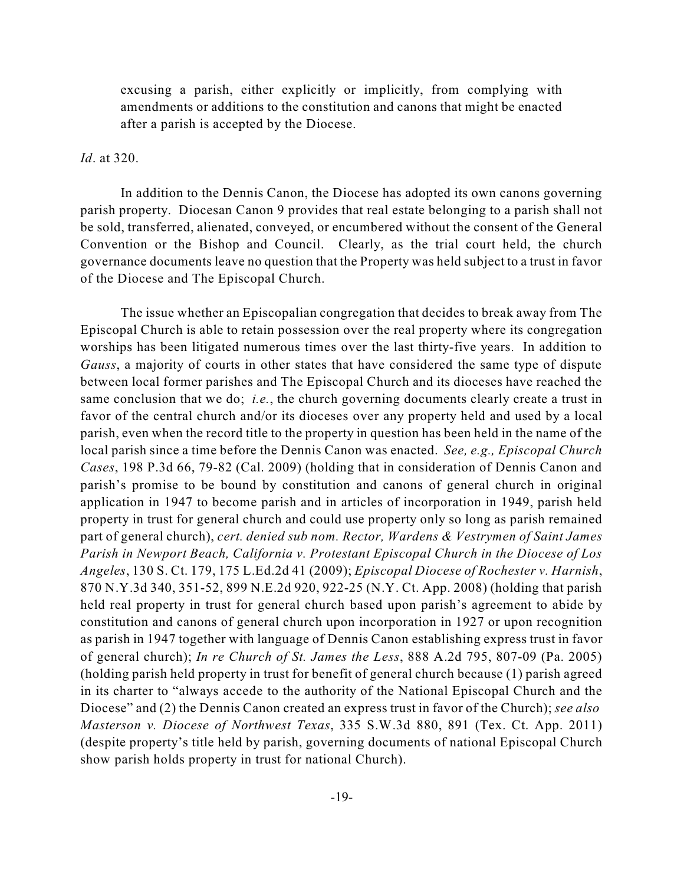excusing a parish, either explicitly or implicitly, from complying with amendments or additions to the constitution and canons that might be enacted after a parish is accepted by the Diocese.

### *Id*. at 320.

In addition to the Dennis Canon, the Diocese has adopted its own canons governing parish property. Diocesan Canon 9 provides that real estate belonging to a parish shall not be sold, transferred, alienated, conveyed, or encumbered without the consent of the General Convention or the Bishop and Council. Clearly, as the trial court held, the church governance documents leave no question that the Property was held subject to a trust in favor of the Diocese and The Episcopal Church.

The issue whether an Episcopalian congregation that decides to break away from The Episcopal Church is able to retain possession over the real property where its congregation worships has been litigated numerous times over the last thirty-five years. In addition to *Gauss*, a majority of courts in other states that have considered the same type of dispute between local former parishes and The Episcopal Church and its dioceses have reached the same conclusion that we do; *i.e.*, the church governing documents clearly create a trust in favor of the central church and/or its dioceses over any property held and used by a local parish, even when the record title to the property in question has been held in the name of the local parish since a time before the Dennis Canon was enacted. *See, e.g., Episcopal Church Cases*, 198 P.3d 66, 79-82 (Cal. 2009) (holding that in consideration of Dennis Canon and parish's promise to be bound by constitution and canons of general church in original application in 1947 to become parish and in articles of incorporation in 1949, parish held property in trust for general church and could use property only so long as parish remained part of general church), *cert. denied sub nom. Rector, Wardens & Vestrymen of Saint James Parish in Newport Beach, California v. Protestant Episcopal Church in the Diocese of Los Angeles*, 130 S. Ct. 179, 175 L.Ed.2d 41 (2009); *Episcopal Diocese of Rochester v. Harnish*, 870 N.Y.3d 340, 351-52, 899 N.E.2d 920, 922-25 (N.Y. Ct. App. 2008) (holding that parish held real property in trust for general church based upon parish's agreement to abide by constitution and canons of general church upon incorporation in 1927 or upon recognition as parish in 1947 together with language of Dennis Canon establishing express trust in favor of general church); *In re Church of St. James the Less*, 888 A.2d 795, 807-09 (Pa. 2005) (holding parish held property in trust for benefit of general church because (1) parish agreed in its charter to "always accede to the authority of the National Episcopal Church and the Diocese" and (2) the Dennis Canon created an express trust in favor of the Church); *see also Masterson v. Diocese of Northwest Texas*, 335 S.W.3d 880, 891 (Tex. Ct. App. 2011) (despite property's title held by parish, governing documents of national Episcopal Church show parish holds property in trust for national Church).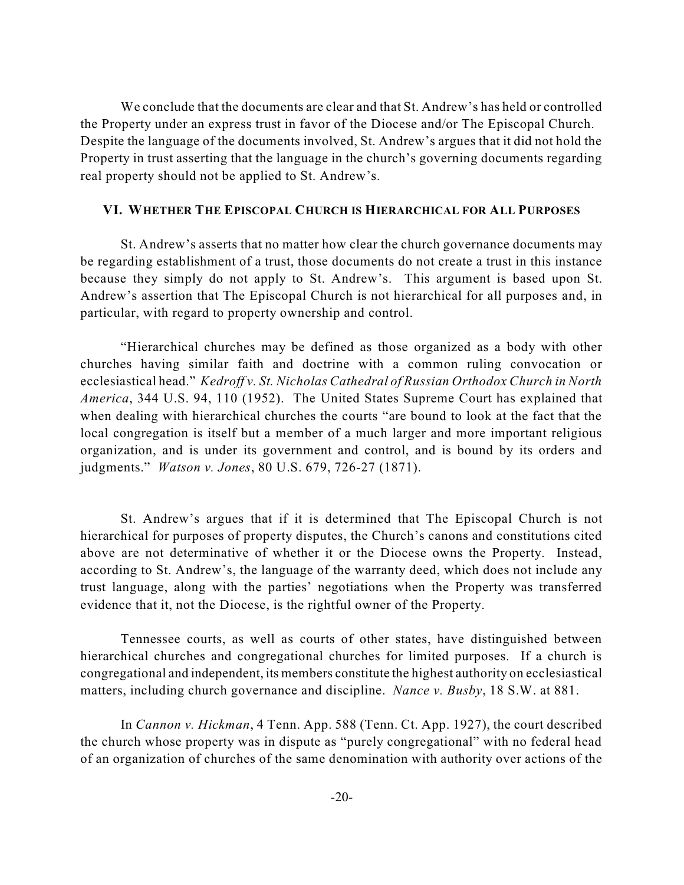We conclude that the documents are clear and that St. Andrew's has held or controlled the Property under an express trust in favor of the Diocese and/or The Episcopal Church. Despite the language of the documents involved, St. Andrew's argues that it did not hold the Property in trust asserting that the language in the church's governing documents regarding real property should not be applied to St. Andrew's.

### **VI. WHETHER THE EPISCOPAL CHURCH IS HIERARCHICAL FOR ALL PURPOSES**

St. Andrew's asserts that no matter how clear the church governance documents may be regarding establishment of a trust, those documents do not create a trust in this instance because they simply do not apply to St. Andrew's. This argument is based upon St. Andrew's assertion that The Episcopal Church is not hierarchical for all purposes and, in particular, with regard to property ownership and control.

"Hierarchical churches may be defined as those organized as a body with other churches having similar faith and doctrine with a common ruling convocation or ecclesiastical head." *Kedroff v. St. Nicholas Cathedral of Russian Orthodox Church in North America*, 344 U.S. 94, 110 (1952). The United States Supreme Court has explained that when dealing with hierarchical churches the courts "are bound to look at the fact that the local congregation is itself but a member of a much larger and more important religious organization, and is under its government and control, and is bound by its orders and judgments." *Watson v. Jones*, 80 U.S. 679, 726-27 (1871).

St. Andrew's argues that if it is determined that The Episcopal Church is not hierarchical for purposes of property disputes, the Church's canons and constitutions cited above are not determinative of whether it or the Diocese owns the Property. Instead, according to St. Andrew's, the language of the warranty deed, which does not include any trust language, along with the parties' negotiations when the Property was transferred evidence that it, not the Diocese, is the rightful owner of the Property.

Tennessee courts, as well as courts of other states, have distinguished between hierarchical churches and congregational churches for limited purposes. If a church is congregational and independent, its members constitute the highest authority on ecclesiastical matters, including church governance and discipline. *Nance v. Busby*, 18 S.W. at 881.

In *Cannon v. Hickman*, 4 Tenn. App. 588 (Tenn. Ct. App. 1927), the court described the church whose property was in dispute as "purely congregational" with no federal head of an organization of churches of the same denomination with authority over actions of the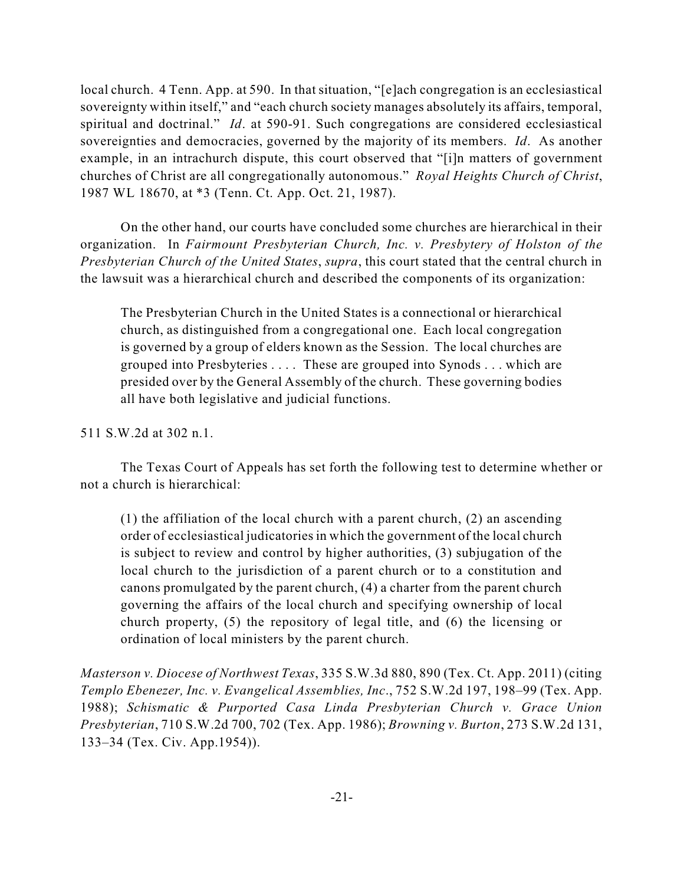local church. 4 Tenn. App. at 590. In that situation, "[e]ach congregation is an ecclesiastical sovereignty within itself," and "each church society manages absolutely its affairs, temporal, spiritual and doctrinal." *Id*. at 590-91. Such congregations are considered ecclesiastical sovereignties and democracies, governed by the majority of its members. *Id*. As another example, in an intrachurch dispute, this court observed that "[i]n matters of government churches of Christ are all congregationally autonomous." *Royal Heights Church of Christ*, 1987 WL 18670, at \*3 (Tenn. Ct. App. Oct. 21, 1987).

On the other hand, our courts have concluded some churches are hierarchical in their organization. In *Fairmount Presbyterian Church, Inc. v. Presbytery of Holston of the Presbyterian Church of the United States*, *supra*, this court stated that the central church in the lawsuit was a hierarchical church and described the components of its organization:

The Presbyterian Church in the United States is a connectional or hierarchical church, as distinguished from a congregational one. Each local congregation is governed by a group of elders known as the Session. The local churches are grouped into Presbyteries . . . . These are grouped into Synods . . . which are presided over by the General Assembly of the church. These governing bodies all have both legislative and judicial functions.

511 S.W.2d at 302 n.1.

The Texas Court of Appeals has set forth the following test to determine whether or not a church is hierarchical:

(1) the affiliation of the local church with a parent church, (2) an ascending order of ecclesiastical judicatoriesin which the government of the local church is subject to review and control by higher authorities, (3) subjugation of the local church to the jurisdiction of a parent church or to a constitution and canons promulgated by the parent church, (4) a charter from the parent church governing the affairs of the local church and specifying ownership of local church property, (5) the repository of legal title, and (6) the licensing or ordination of local ministers by the parent church.

*Masterson v. Diocese of Northwest Texas*, 335 S.W.3d 880, 890 (Tex. Ct. App. 2011) (citing *Templo Ebenezer, Inc. v. Evangelical Assemblies, Inc*., 752 S.W.2d 197, 198–99 (Tex. App. 1988); *Schismatic & Purported Casa Linda Presbyterian Church v. Grace Union Presbyterian*, 710 S.W.2d 700, 702 (Tex. App. 1986); *Browning v. Burton*, 273 S.W.2d 131, 133–34 (Tex. Civ. App.1954)).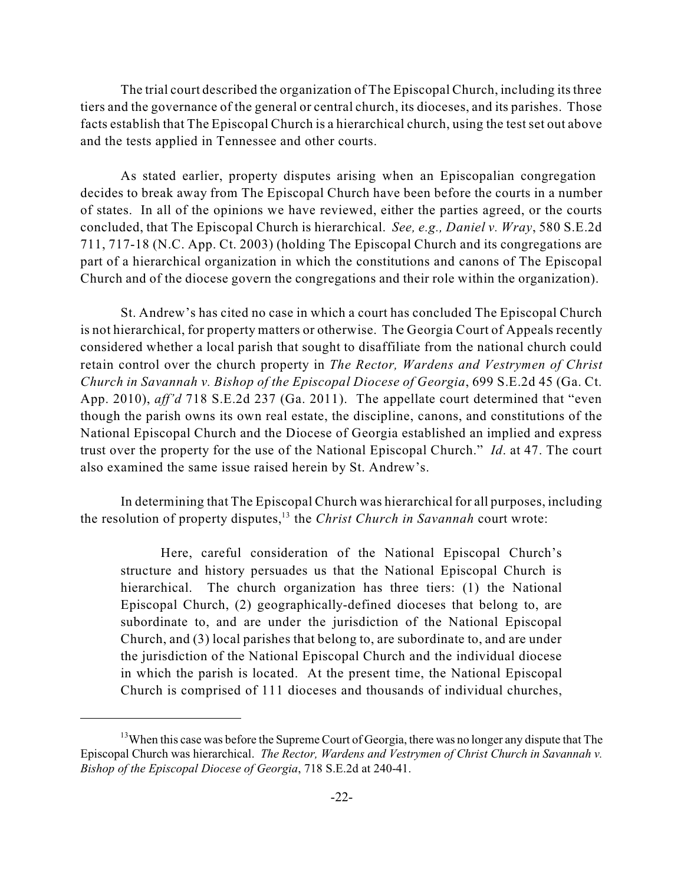The trial court described the organization of The Episcopal Church, including its three tiers and the governance of the general or central church, its dioceses, and its parishes. Those facts establish that The Episcopal Church is a hierarchical church, using the test set out above and the tests applied in Tennessee and other courts.

As stated earlier, property disputes arising when an Episcopalian congregation decides to break away from The Episcopal Church have been before the courts in a number of states. In all of the opinions we have reviewed, either the parties agreed, or the courts concluded, that The Episcopal Church is hierarchical. *See, e.g., Daniel v. Wray*, 580 S.E.2d 711, 717-18 (N.C. App. Ct. 2003) (holding The Episcopal Church and its congregations are part of a hierarchical organization in which the constitutions and canons of The Episcopal Church and of the diocese govern the congregations and their role within the organization).

St. Andrew's has cited no case in which a court has concluded The Episcopal Church is not hierarchical, for property matters or otherwise. The Georgia Court of Appeals recently considered whether a local parish that sought to disaffiliate from the national church could retain control over the church property in *The Rector, Wardens and Vestrymen of Christ Church in Savannah v. Bishop of the Episcopal Diocese of Georgia*, 699 S.E.2d 45 (Ga. Ct. App. 2010), *aff'd* 718 S.E.2d 237 (Ga. 2011). The appellate court determined that "even though the parish owns its own real estate, the discipline, canons, and constitutions of the National Episcopal Church and the Diocese of Georgia established an implied and express trust over the property for the use of the National Episcopal Church." *Id*. at 47. The court also examined the same issue raised herein by St. Andrew's.

In determining that The Episcopal Church was hierarchical for all purposes, including the resolution of property disputes,<sup>13</sup> the *Christ Church in Savannah* court wrote:

Here, careful consideration of the National Episcopal Church's structure and history persuades us that the National Episcopal Church is hierarchical. The church organization has three tiers: (1) the National Episcopal Church, (2) geographically-defined dioceses that belong to, are subordinate to, and are under the jurisdiction of the National Episcopal Church, and (3) local parishes that belong to, are subordinate to, and are under the jurisdiction of the National Episcopal Church and the individual diocese in which the parish is located. At the present time, the National Episcopal Church is comprised of 111 dioceses and thousands of individual churches,

 $13$ When this case was before the Supreme Court of Georgia, there was no longer any dispute that The Episcopal Church was hierarchical. *The Rector, Wardens and Vestrymen of Christ Church in Savannah v. Bishop of the Episcopal Diocese of Georgia*, 718 S.E.2d at 240-41.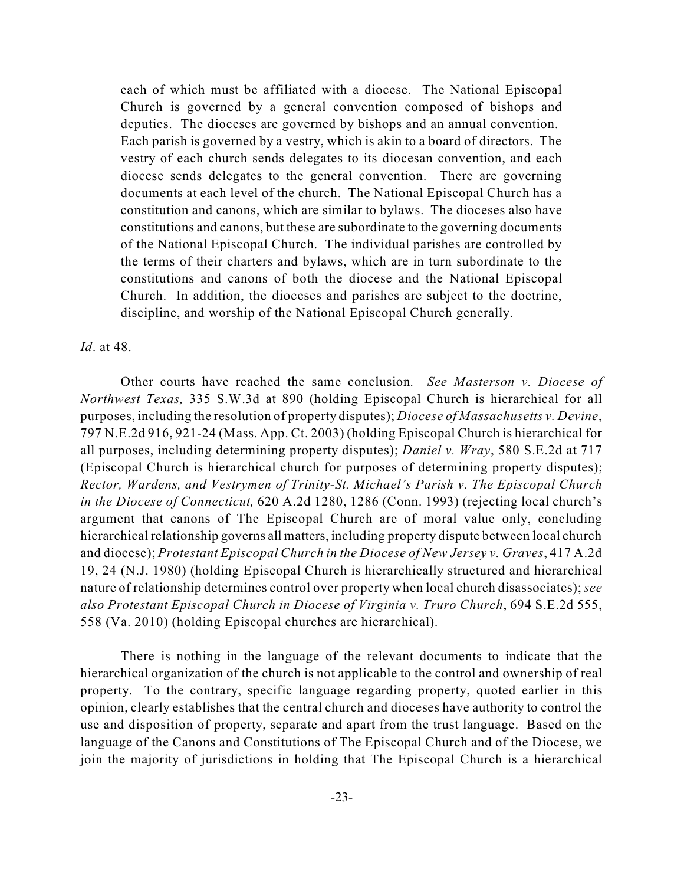each of which must be affiliated with a diocese. The National Episcopal Church is governed by a general convention composed of bishops and deputies. The dioceses are governed by bishops and an annual convention. Each parish is governed by a vestry, which is akin to a board of directors. The vestry of each church sends delegates to its diocesan convention, and each diocese sends delegates to the general convention. There are governing documents at each level of the church. The National Episcopal Church has a constitution and canons, which are similar to bylaws. The dioceses also have constitutions and canons, but these are subordinate to the governing documents of the National Episcopal Church. The individual parishes are controlled by the terms of their charters and bylaws, which are in turn subordinate to the constitutions and canons of both the diocese and the National Episcopal Church. In addition, the dioceses and parishes are subject to the doctrine, discipline, and worship of the National Episcopal Church generally.

### *Id*. at 48.

Other courts have reached the same conclusion*. See Masterson v. Diocese of Northwest Texas,* 335 S.W.3d at 890 (holding Episcopal Church is hierarchical for all purposes, including the resolution of property disputes); *Diocese of Massachusetts v. Devine*, 797 N.E.2d 916, 921-24 (Mass. App. Ct. 2003) (holding Episcopal Church is hierarchical for all purposes, including determining property disputes); *Daniel v. Wray*, 580 S.E.2d at 717 (Episcopal Church is hierarchical church for purposes of determining property disputes); *Rector, Wardens, and Vestrymen of Trinity-St. Michael's Parish v. The Episcopal Church in the Diocese of Connecticut,* 620 A.2d 1280, 1286 (Conn. 1993) (rejecting local church's argument that canons of The Episcopal Church are of moral value only, concluding hierarchical relationship governs all matters, including property dispute between local church and diocese); *Protestant Episcopal Church in the Diocese of New Jersey v. Graves*, 417 A.2d 19, 24 (N.J. 1980) (holding Episcopal Church is hierarchically structured and hierarchical nature of relationship determines control over property when local church disassociates);*see also Protestant Episcopal Church in Diocese of Virginia v. Truro Church*, 694 S.E.2d 555, 558 (Va. 2010) (holding Episcopal churches are hierarchical).

There is nothing in the language of the relevant documents to indicate that the hierarchical organization of the church is not applicable to the control and ownership of real property. To the contrary, specific language regarding property, quoted earlier in this opinion, clearly establishes that the central church and dioceses have authority to control the use and disposition of property, separate and apart from the trust language. Based on the language of the Canons and Constitutions of The Episcopal Church and of the Diocese, we join the majority of jurisdictions in holding that The Episcopal Church is a hierarchical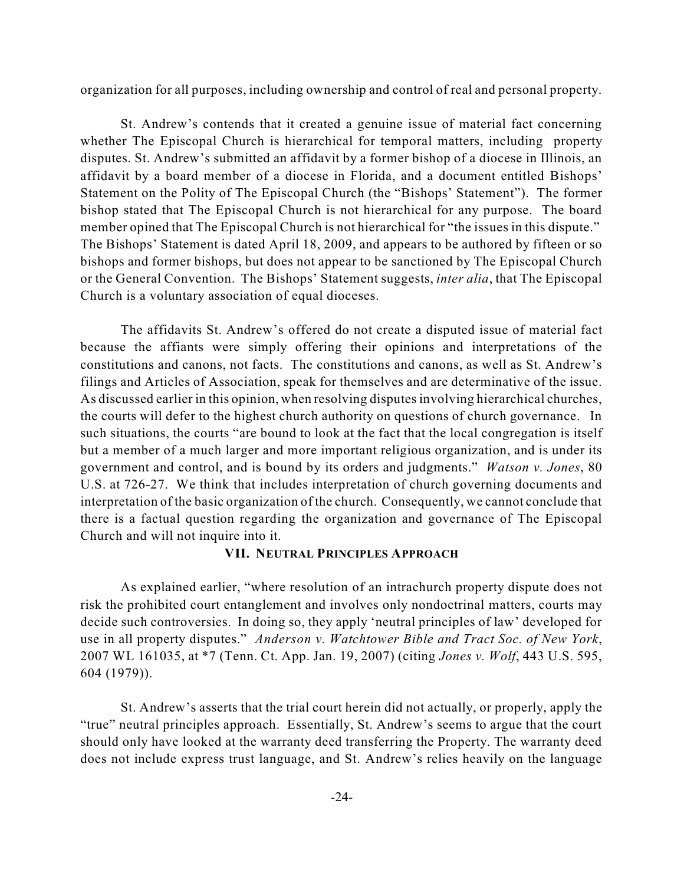organization for all purposes, including ownership and control of real and personal property.

St. Andrew's contends that it created a genuine issue of material fact concerning whether The Episcopal Church is hierarchical for temporal matters, including property disputes. St. Andrew's submitted an affidavit by a former bishop of a diocese in Illinois, an affidavit by a board member of a diocese in Florida, and a document entitled Bishops' Statement on the Polity of The Episcopal Church (the "Bishops' Statement"). The former bishop stated that The Episcopal Church is not hierarchical for any purpose. The board member opined that The Episcopal Church is not hierarchical for "the issues in this dispute." The Bishops' Statement is dated April 18, 2009, and appears to be authored by fifteen or so bishops and former bishops, but does not appear to be sanctioned by The Episcopal Church or the General Convention. The Bishops' Statement suggests, *inter alia*, that The Episcopal Church is a voluntary association of equal dioceses.

The affidavits St. Andrew's offered do not create a disputed issue of material fact because the affiants were simply offering their opinions and interpretations of the constitutions and canons, not facts. The constitutions and canons, as well as St. Andrew's filings and Articles of Association, speak for themselves and are determinative of the issue. As discussed earlier in this opinion, when resolving disputes involving hierarchical churches, the courts will defer to the highest church authority on questions of church governance. In such situations, the courts "are bound to look at the fact that the local congregation is itself but a member of a much larger and more important religious organization, and is under its government and control, and is bound by its orders and judgments." *Watson v. Jones*, 80 U.S. at 726-27. We think that includes interpretation of church governing documents and interpretation of the basic organization of the church. Consequently, we cannot conclude that there is a factual question regarding the organization and governance of The Episcopal Church and will not inquire into it.

### **VII. NEUTRAL PRINCIPLES APPROACH**

As explained earlier, "where resolution of an intrachurch property dispute does not risk the prohibited court entanglement and involves only nondoctrinal matters, courts may decide such controversies. In doing so, they apply 'neutral principles of law' developed for use in all property disputes." *Anderson v. Watchtower Bible and Tract Soc. of New York*, 2007 WL 161035, at \*7 (Tenn. Ct. App. Jan. 19, 2007) (citing *Jones v. Wolf*, 443 U.S. 595, 604 (1979)).

St. Andrew's asserts that the trial court herein did not actually, or properly, apply the "true" neutral principles approach. Essentially, St. Andrew's seems to argue that the court should only have looked at the warranty deed transferring the Property. The warranty deed does not include express trust language, and St. Andrew's relies heavily on the language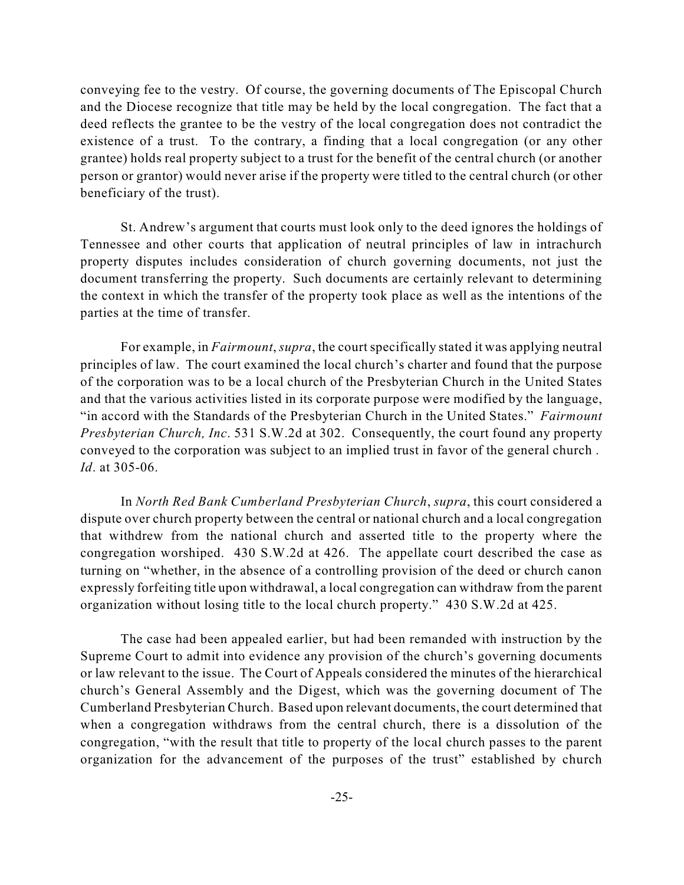conveying fee to the vestry. Of course, the governing documents of The Episcopal Church and the Diocese recognize that title may be held by the local congregation. The fact that a deed reflects the grantee to be the vestry of the local congregation does not contradict the existence of a trust. To the contrary, a finding that a local congregation (or any other grantee) holds real property subject to a trust for the benefit of the central church (or another person or grantor) would never arise if the property were titled to the central church (or other beneficiary of the trust).

St. Andrew's argument that courts must look only to the deed ignores the holdings of Tennessee and other courts that application of neutral principles of law in intrachurch property disputes includes consideration of church governing documents, not just the document transferring the property. Such documents are certainly relevant to determining the context in which the transfer of the property took place as well as the intentions of the parties at the time of transfer.

For example, in *Fairmount*, *supra*, the court specifically stated it was applying neutral principles of law. The court examined the local church's charter and found that the purpose of the corporation was to be a local church of the Presbyterian Church in the United States and that the various activities listed in its corporate purpose were modified by the language, "in accord with the Standards of the Presbyterian Church in the United States." *Fairmount Presbyterian Church, Inc*. 531 S.W.2d at 302. Consequently, the court found any property conveyed to the corporation was subject to an implied trust in favor of the general church . *Id*. at 305-06.

In *North Red Bank Cumberland Presbyterian Church*, *supra*, this court considered a dispute over church property between the central or national church and a local congregation that withdrew from the national church and asserted title to the property where the congregation worshiped. 430 S.W.2d at 426. The appellate court described the case as turning on "whether, in the absence of a controlling provision of the deed or church canon expressly forfeiting title upon withdrawal, a local congregation can withdraw from the parent organization without losing title to the local church property." 430 S.W.2d at 425.

The case had been appealed earlier, but had been remanded with instruction by the Supreme Court to admit into evidence any provision of the church's governing documents or law relevant to the issue. The Court of Appeals considered the minutes of the hierarchical church's General Assembly and the Digest, which was the governing document of The Cumberland Presbyterian Church. Based upon relevant documents, the court determined that when a congregation withdraws from the central church, there is a dissolution of the congregation, "with the result that title to property of the local church passes to the parent organization for the advancement of the purposes of the trust" established by church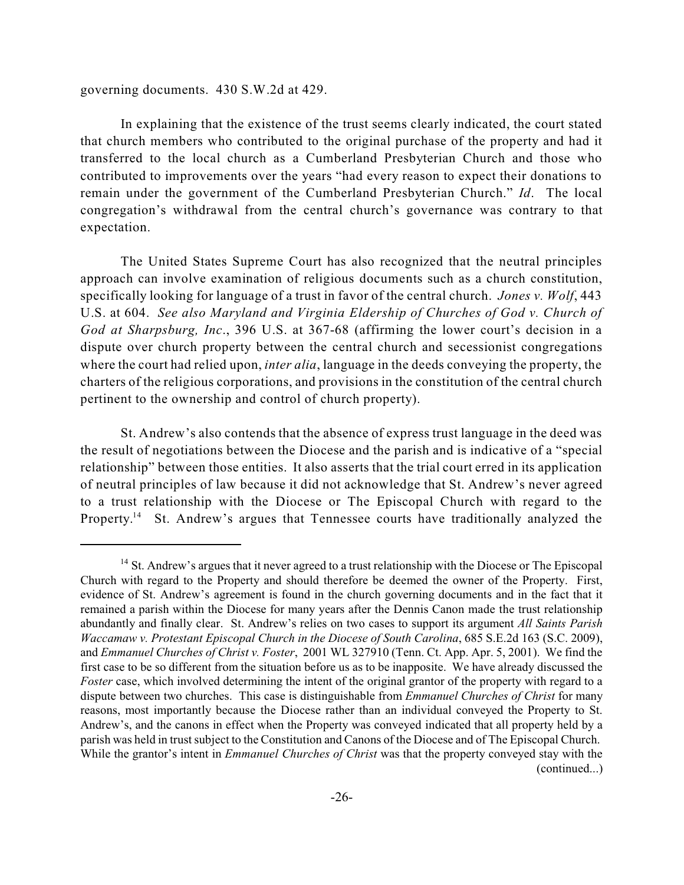governing documents. 430 S.W.2d at 429.

In explaining that the existence of the trust seems clearly indicated, the court stated that church members who contributed to the original purchase of the property and had it transferred to the local church as a Cumberland Presbyterian Church and those who contributed to improvements over the years "had every reason to expect their donations to remain under the government of the Cumberland Presbyterian Church." *Id*. The local congregation's withdrawal from the central church's governance was contrary to that expectation.

The United States Supreme Court has also recognized that the neutral principles approach can involve examination of religious documents such as a church constitution, specifically looking for language of a trust in favor of the central church. *Jones v. Wolf*, 443 U.S. at 604. *See also Maryland and Virginia Eldership of Churches of God v. Church of God at Sharpsburg, Inc*., 396 U.S. at 367-68 (affirming the lower court's decision in a dispute over church property between the central church and secessionist congregations where the court had relied upon, *inter alia*, language in the deeds conveying the property, the charters of the religious corporations, and provisions in the constitution of the central church pertinent to the ownership and control of church property).

St. Andrew's also contends that the absence of express trust language in the deed was the result of negotiations between the Diocese and the parish and is indicative of a "special relationship" between those entities. It also asserts that the trial court erred in its application of neutral principles of law because it did not acknowledge that St. Andrew's never agreed to a trust relationship with the Diocese or The Episcopal Church with regard to the Property.<sup>14</sup> St. Andrew's argues that Tennessee courts have traditionally analyzed the

 $<sup>14</sup>$  St. Andrew's argues that it never agreed to a trust relationship with the Diocese or The Episcopal</sup> Church with regard to the Property and should therefore be deemed the owner of the Property. First, evidence of St. Andrew's agreement is found in the church governing documents and in the fact that it remained a parish within the Diocese for many years after the Dennis Canon made the trust relationship abundantly and finally clear. St. Andrew's relies on two cases to support its argument *All Saints Parish Waccamaw v. Protestant Episcopal Church in the Diocese of South Carolina*, 685 S.E.2d 163 (S.C. 2009), and *Emmanuel Churches of Christ v. Foster*, 2001 WL 327910 (Tenn. Ct. App. Apr. 5, 2001). We find the first case to be so different from the situation before us as to be inapposite. We have already discussed the *Foster* case, which involved determining the intent of the original grantor of the property with regard to a dispute between two churches. This case is distinguishable from *Emmanuel Churches of Christ* for many reasons, most importantly because the Diocese rather than an individual conveyed the Property to St. Andrew's, and the canons in effect when the Property was conveyed indicated that all property held by a parish was held in trust subject to the Constitution and Canons of the Diocese and of The Episcopal Church. While the grantor's intent in *Emmanuel Churches of Christ* was that the property conveyed stay with the (continued...)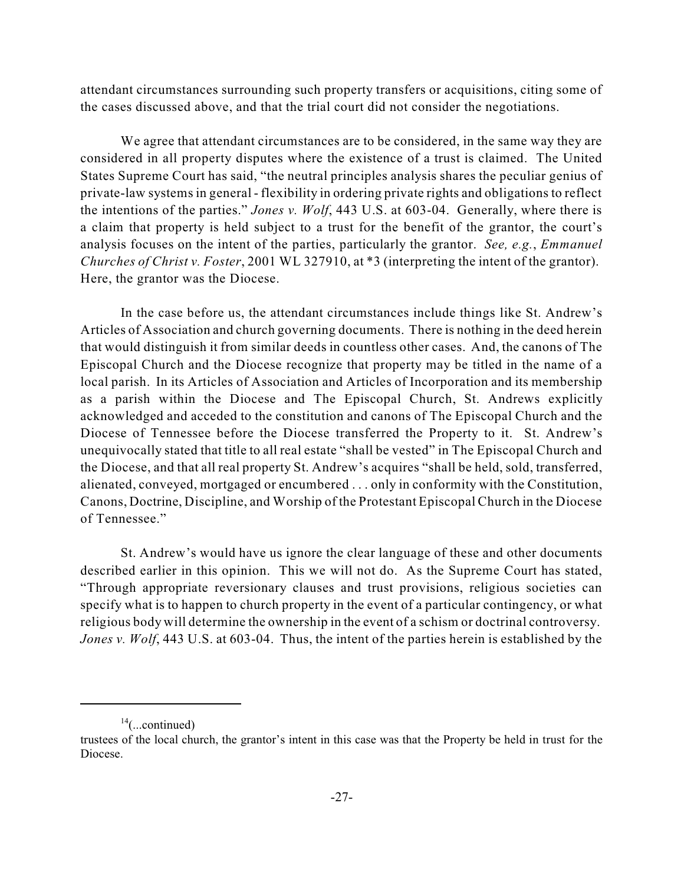attendant circumstances surrounding such property transfers or acquisitions, citing some of the cases discussed above, and that the trial court did not consider the negotiations.

We agree that attendant circumstances are to be considered, in the same way they are considered in all property disputes where the existence of a trust is claimed. The United States Supreme Court has said, "the neutral principles analysis shares the peculiar genius of private-law systems in general - flexibility in ordering private rights and obligations to reflect the intentions of the parties." *Jones v. Wolf*, 443 U.S. at 603-04. Generally, where there is a claim that property is held subject to a trust for the benefit of the grantor, the court's analysis focuses on the intent of the parties, particularly the grantor. *See, e.g.*, *Emmanuel Churches of Christ v. Foster*, 2001 WL 327910, at \*3 (interpreting the intent of the grantor). Here, the grantor was the Diocese.

In the case before us, the attendant circumstances include things like St. Andrew's Articles of Association and church governing documents. There is nothing in the deed herein that would distinguish it from similar deeds in countless other cases. And, the canons of The Episcopal Church and the Diocese recognize that property may be titled in the name of a local parish. In its Articles of Association and Articles of Incorporation and its membership as a parish within the Diocese and The Episcopal Church, St. Andrews explicitly acknowledged and acceded to the constitution and canons of The Episcopal Church and the Diocese of Tennessee before the Diocese transferred the Property to it. St. Andrew's unequivocally stated that title to all real estate "shall be vested" in The Episcopal Church and the Diocese, and that all real property St. Andrew's acquires "shall be held, sold, transferred, alienated, conveyed, mortgaged or encumbered . . . only in conformity with the Constitution, Canons, Doctrine, Discipline, and Worship of the Protestant Episcopal Church in the Diocese of Tennessee."

St. Andrew's would have us ignore the clear language of these and other documents described earlier in this opinion. This we will not do. As the Supreme Court has stated, "Through appropriate reversionary clauses and trust provisions, religious societies can specify what is to happen to church property in the event of a particular contingency, or what religious body will determine the ownership in the event of a schism or doctrinal controversy. *Jones v. Wolf*, 443 U.S. at 603-04. Thus, the intent of the parties herein is established by the

 $14$ (...continued)

trustees of the local church, the grantor's intent in this case was that the Property be held in trust for the Diocese.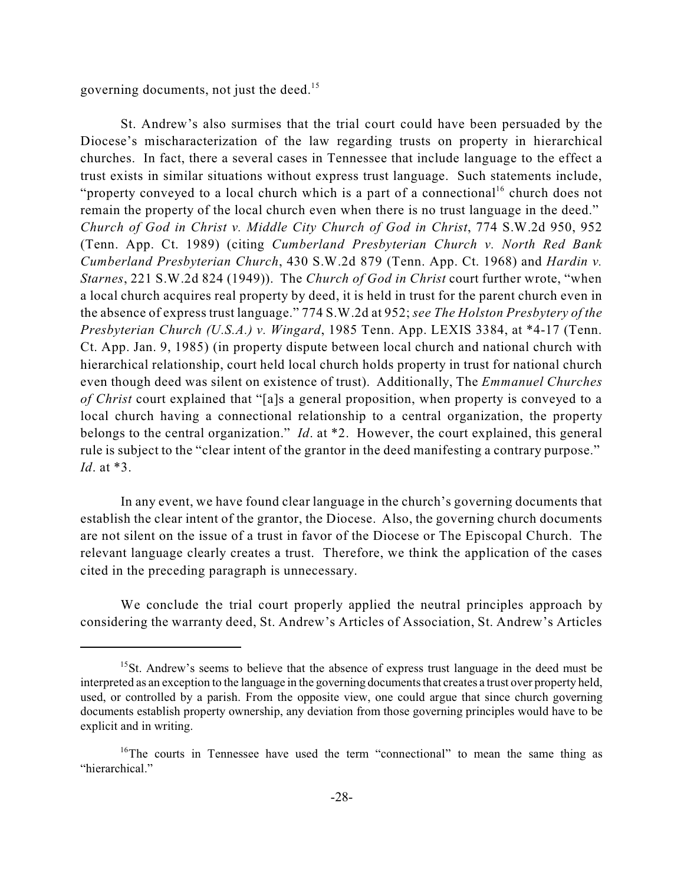governing documents, not just the deed.<sup>15</sup>

St. Andrew's also surmises that the trial court could have been persuaded by the Diocese's mischaracterization of the law regarding trusts on property in hierarchical churches. In fact, there a several cases in Tennessee that include language to the effect a trust exists in similar situations without express trust language. Such statements include, "property conveyed to a local church which is a part of a connectional<sup>16</sup> church does not remain the property of the local church even when there is no trust language in the deed." *Church of God in Christ v. Middle City Church of God in Christ*, 774 S.W.2d 950, 952 (Tenn. App. Ct. 1989) (citing *Cumberland Presbyterian Church v. North Red Bank Cumberland Presbyterian Church*, 430 S.W.2d 879 (Tenn. App. Ct. 1968) and *Hardin v. Starnes*, 221 S.W.2d 824 (1949)). The *Church of God in Christ* court further wrote, "when a local church acquires real property by deed, it is held in trust for the parent church even in the absence of express trust language." 774 S.W.2d at 952; *see The Holston Presbytery of the Presbyterian Church (U.S.A.) v. Wingard*, 1985 Tenn. App. LEXIS 3384, at \*4-17 (Tenn. Ct. App. Jan. 9, 1985) (in property dispute between local church and national church with hierarchical relationship, court held local church holds property in trust for national church even though deed was silent on existence of trust). Additionally, The *Emmanuel Churches of Christ* court explained that "[a]s a general proposition, when property is conveyed to a local church having a connectional relationship to a central organization, the property belongs to the central organization." *Id*. at \*2. However, the court explained, this general rule is subject to the "clear intent of the grantor in the deed manifesting a contrary purpose." *Id*. at \*3.

In any event, we have found clear language in the church's governing documents that establish the clear intent of the grantor, the Diocese. Also, the governing church documents are not silent on the issue of a trust in favor of the Diocese or The Episcopal Church. The relevant language clearly creates a trust. Therefore, we think the application of the cases cited in the preceding paragraph is unnecessary.

We conclude the trial court properly applied the neutral principles approach by considering the warranty deed, St. Andrew's Articles of Association, St. Andrew's Articles

 $15$ St. Andrew's seems to believe that the absence of express trust language in the deed must be interpreted as an exception to the language in the governing documents that creates a trust over property held, used, or controlled by a parish. From the opposite view, one could argue that since church governing documents establish property ownership, any deviation from those governing principles would have to be explicit and in writing.

 $16$ <sup>16</sup>The courts in Tennessee have used the term "connectional" to mean the same thing as "hierarchical."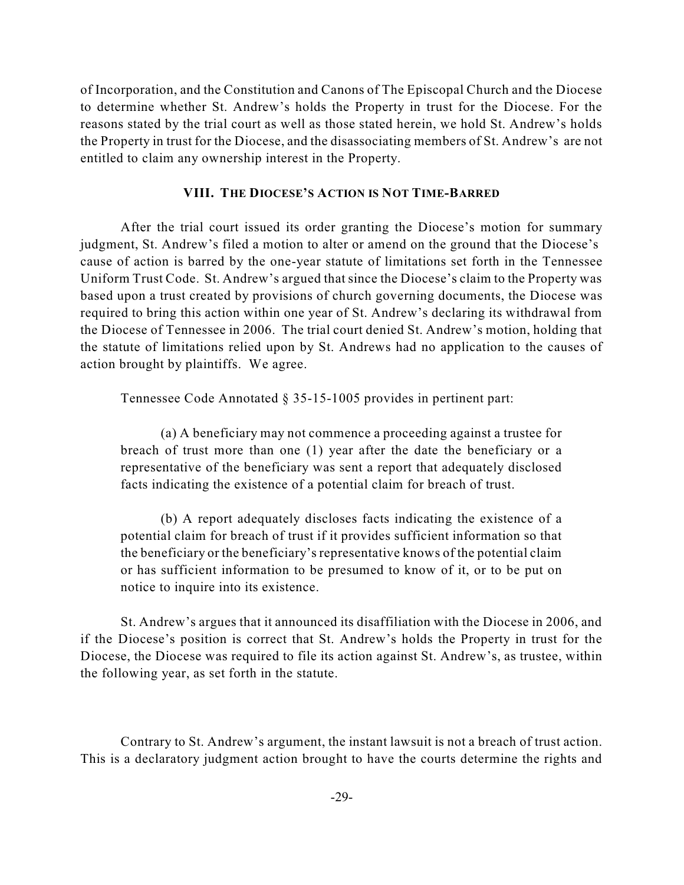of Incorporation, and the Constitution and Canons of The Episcopal Church and the Diocese to determine whether St. Andrew's holds the Property in trust for the Diocese. For the reasons stated by the trial court as well as those stated herein, we hold St. Andrew's holds the Property in trust for the Diocese, and the disassociating members of St. Andrew's are not entitled to claim any ownership interest in the Property.

### **VIII. THE DIOCESE'S ACTION IS NOT TIME-BARRED**

After the trial court issued its order granting the Diocese's motion for summary judgment, St. Andrew's filed a motion to alter or amend on the ground that the Diocese's cause of action is barred by the one-year statute of limitations set forth in the Tennessee Uniform Trust Code. St. Andrew's argued that since the Diocese's claim to the Property was based upon a trust created by provisions of church governing documents, the Diocese was required to bring this action within one year of St. Andrew's declaring its withdrawal from the Diocese of Tennessee in 2006. The trial court denied St. Andrew's motion, holding that the statute of limitations relied upon by St. Andrews had no application to the causes of action brought by plaintiffs. We agree.

Tennessee Code Annotated § 35-15-1005 provides in pertinent part:

(a) A beneficiary may not commence a proceeding against a trustee for breach of trust more than one (1) year after the date the beneficiary or a representative of the beneficiary was sent a report that adequately disclosed facts indicating the existence of a potential claim for breach of trust.

(b) A report adequately discloses facts indicating the existence of a potential claim for breach of trust if it provides sufficient information so that the beneficiary or the beneficiary's representative knows of the potential claim or has sufficient information to be presumed to know of it, or to be put on notice to inquire into its existence.

St. Andrew's argues that it announced its disaffiliation with the Diocese in 2006, and if the Diocese's position is correct that St. Andrew's holds the Property in trust for the Diocese, the Diocese was required to file its action against St. Andrew's, as trustee, within the following year, as set forth in the statute.

Contrary to St. Andrew's argument, the instant lawsuit is not a breach of trust action. This is a declaratory judgment action brought to have the courts determine the rights and